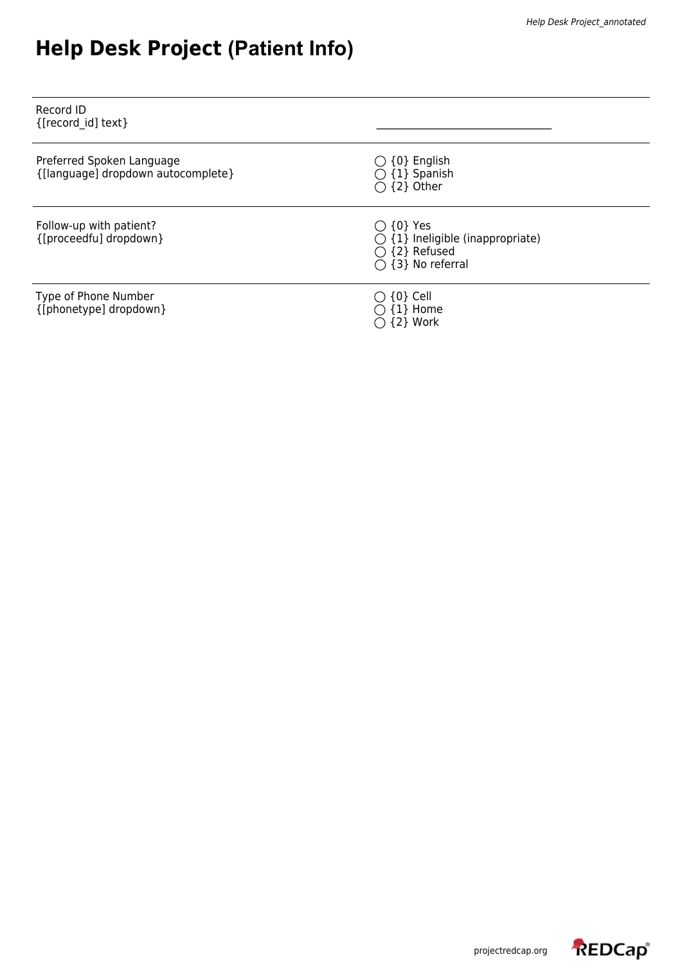## **Help Desk Project (Patient Info)**

| Record ID<br>{[record id] text}                                 |                                                                                                                         |
|-----------------------------------------------------------------|-------------------------------------------------------------------------------------------------------------------------|
| Preferred Spoken Language<br>{[language] dropdown autocomplete} | $\bigcirc$ {0} English<br>$\bigcirc$ {1} Spanish<br>$\bigcirc$ {2} Other                                                |
| Follow-up with patient?<br>{[proceedfu] dropdown}               | $\bigcirc$ {0} Yes<br>$\bigcirc$ {1} Ineligible (inappropriate)<br>$\bigcirc$ {2} Refused<br>$\bigcirc$ {3} No referral |
| Type of Phone Number<br>{[phonetype] dropdown}                  | $\bigcirc$ {0} Cell<br>$\bigcirc$ {1} Home<br>{2} Work                                                                  |

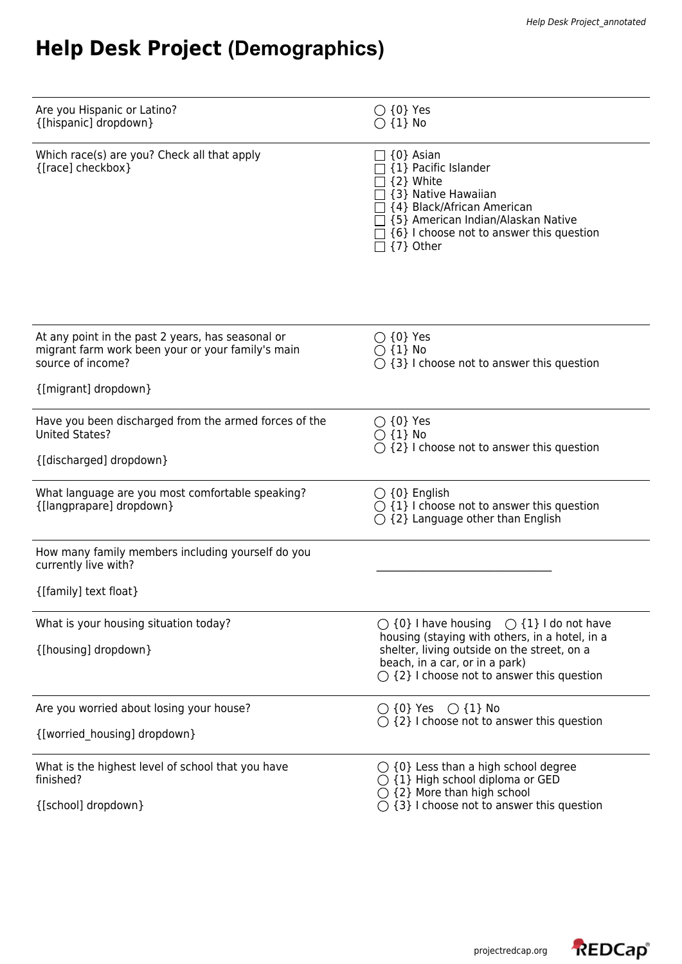## **Help Desk Project (Demographics)**

| Are you Hispanic or Latino?<br>{[hispanic] dropdown}                                                                        | $\bigcirc$ {0} Yes<br>$\bigcirc$ {1} No                                                                                                                                                                          |
|-----------------------------------------------------------------------------------------------------------------------------|------------------------------------------------------------------------------------------------------------------------------------------------------------------------------------------------------------------|
| Which race(s) are you? Check all that apply<br>{[race] checkbox}                                                            | {0} Asian<br>{1} Pacific Islander<br>{2} White<br>{3} Native Hawaiian<br>{4} Black/African American<br>{5} American Indian/Alaskan Native<br>$\Box$ {6} I choose not to answer this question<br>$\Box$ {7} Other |
| At any point in the past 2 years, has seasonal or<br>migrant farm work been your or your family's main<br>source of income? | $\bigcirc$ {0} Yes<br>$\bigcirc$ {1} No<br>$\bigcirc$ {3} I choose not to answer this question                                                                                                                   |
| {[migrant] dropdown}                                                                                                        |                                                                                                                                                                                                                  |
| Have you been discharged from the armed forces of the<br><b>United States?</b>                                              | $\bigcirc$ {0} Yes<br>$\bigcirc$ {1} No<br>$\bigcirc$ {2} I choose not to answer this question                                                                                                                   |
| {[discharged] dropdown}                                                                                                     |                                                                                                                                                                                                                  |
| What language are you most comfortable speaking?<br>{[langprapare] dropdown}                                                | $\bigcirc$ {0} English<br>$\bigcirc$ {1} I choose not to answer this question<br>$\bigcirc$ {2} Language other than English                                                                                      |
| How many family members including yourself do you<br>currently live with?                                                   |                                                                                                                                                                                                                  |
| {[family] text float}                                                                                                       |                                                                                                                                                                                                                  |
| What is your housing situation today?<br>{[housing] dropdown}                                                               | $\bigcirc$ {0} I have housing $\bigcirc$ {1} I do not have<br>housing (staying with others, in a hotel, in a<br>shelter, living outside on the street, on a                                                      |
|                                                                                                                             | beach, in a car, or in a park)<br>$\bigcirc$ {2} I choose not to answer this question                                                                                                                            |
| Are you worried about losing your house?                                                                                    | $\bigcirc$ {0} Yes $\bigcirc$ {1} No                                                                                                                                                                             |
| {[worried_housing] dropdown}                                                                                                | $\bigcirc$ {2} I choose not to answer this question                                                                                                                                                              |
| What is the highest level of school that you have<br>finished?                                                              | $\bigcirc$ {0} Less than a high school degree<br>$\bigcirc$ {1} High school diploma or GED<br>$\bigcirc$ {2} More than high school                                                                               |
| {[school] dropdown}                                                                                                         | $\bigcirc$ {3} I choose not to answer this question                                                                                                                                                              |

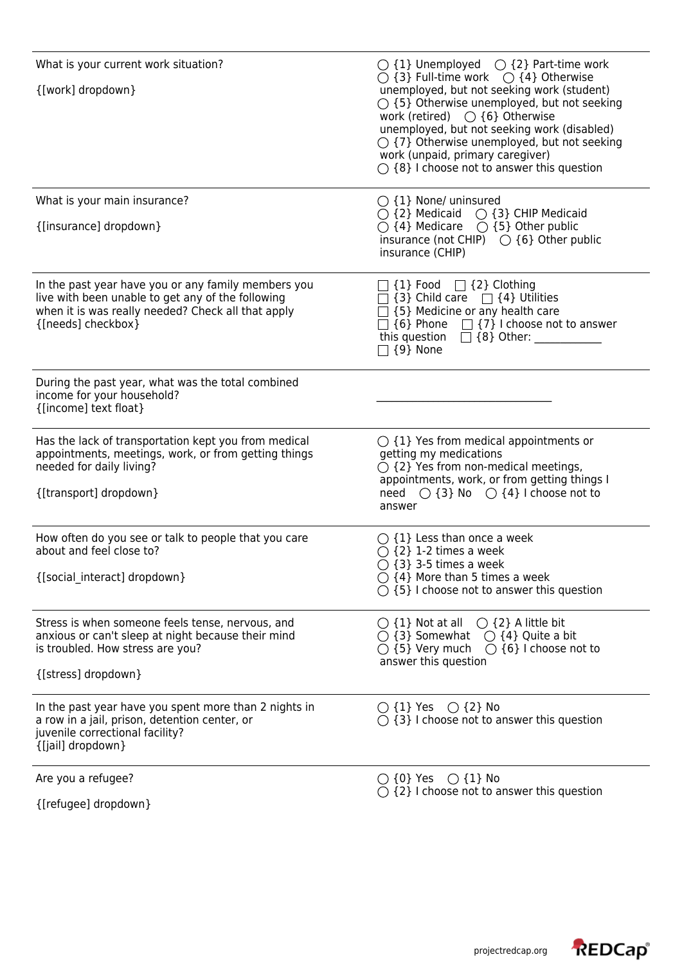| What is your current work situation?<br>{[work] dropdown}                                                                                                                            | $\bigcirc$ {1} Unemployed $\bigcirc$ {2} Part-time work<br>$\bigcirc$ {3} Full-time work $\bigcirc$ {4} Otherwise<br>unemployed, but not seeking work (student)<br>$\bigcirc$ {5} Otherwise unemployed, but not seeking<br>work (retired) $\bigcirc$ {6} Otherwise<br>unemployed, but not seeking work (disabled)<br>$\bigcirc$ {7} Otherwise unemployed, but not seeking<br>work (unpaid, primary caregiver)<br>$\bigcirc$ {8} I choose not to answer this question |
|--------------------------------------------------------------------------------------------------------------------------------------------------------------------------------------|----------------------------------------------------------------------------------------------------------------------------------------------------------------------------------------------------------------------------------------------------------------------------------------------------------------------------------------------------------------------------------------------------------------------------------------------------------------------|
| What is your main insurance?<br>{[insurance] dropdown}                                                                                                                               | $\bigcirc$ {1} None/ uninsured<br>$\bigcirc$ {2} Medicaid $\bigcirc$ {3} CHIP Medicaid<br>$\bigcirc$ {4} Medicare $\bigcirc$ {5} Other public<br>insurance (not CHIP) $\bigcirc$ {6} Other public<br>insurance (CHIP)                                                                                                                                                                                                                                                |
| In the past year have you or any family members you<br>live with been unable to get any of the following<br>when it is was really needed? Check all that apply<br>{[needs] checkbox} | $\Box$ {1} Food $\Box$ {2} Clothing<br>$\Box$ {3} Child care $\Box$ {4} Utilities<br>$\Box$ {5} Medicine or any health care<br>$\Box$ {6} Phone $\Box$ {7} I choose not to answer<br>$\Box$ {9} None                                                                                                                                                                                                                                                                 |
| During the past year, what was the total combined<br>income for your household?<br>{[income] text float}                                                                             |                                                                                                                                                                                                                                                                                                                                                                                                                                                                      |
| Has the lack of transportation kept you from medical<br>appointments, meetings, work, or from getting things<br>needed for daily living?<br>{[transport] dropdown}                   | $\bigcirc$ {1} Yes from medical appointments or<br>getting my medications<br>$\bigcirc$ {2} Yes from non-medical meetings,<br>appointments, work, or from getting things I<br>need $\bigcirc$ {3} No $\bigcirc$ {4} I choose not to<br>answer                                                                                                                                                                                                                        |
| How often do you see or talk to people that you care<br>about and feel close to?<br>{[social interact] dropdown}                                                                     | $\bigcirc$ {1} Less than once a week<br>$\bigcirc$ {2} 1-2 times a week<br>$\bigcirc$ {3} 3-5 times a week<br>$\bigcirc$ {4} More than 5 times a week<br>$\bigcirc$ {5} I choose not to answer this question                                                                                                                                                                                                                                                         |
| Stress is when someone feels tense, nervous, and<br>anxious or can't sleep at night because their mind<br>is troubled. How stress are you?<br>{[stress] dropdown}                    | $\bigcirc$ {1} Not at all $\bigcirc$ {2} A little bit<br>$\bigcirc$ {3} Somewhat $\bigcirc$ {4} Quite a bit<br>$\bigcirc$ {5} Very much $\bigcirc$ {6} I choose not to<br>answer this question                                                                                                                                                                                                                                                                       |
| In the past year have you spent more than 2 nights in<br>a row in a jail, prison, detention center, or<br>juvenile correctional facility?<br>{[jail] dropdown}                       | $\bigcirc$ {1} Yes $\bigcirc$ {2} No<br>$\bigcirc$ {3} I choose not to answer this question                                                                                                                                                                                                                                                                                                                                                                          |
| Are you a refugee?<br>{[refugee] dropdown}                                                                                                                                           | $\bigcirc$ {0} Yes $\bigcirc$ {1} No<br>$\bigcirc$ {2} I choose not to answer this question                                                                                                                                                                                                                                                                                                                                                                          |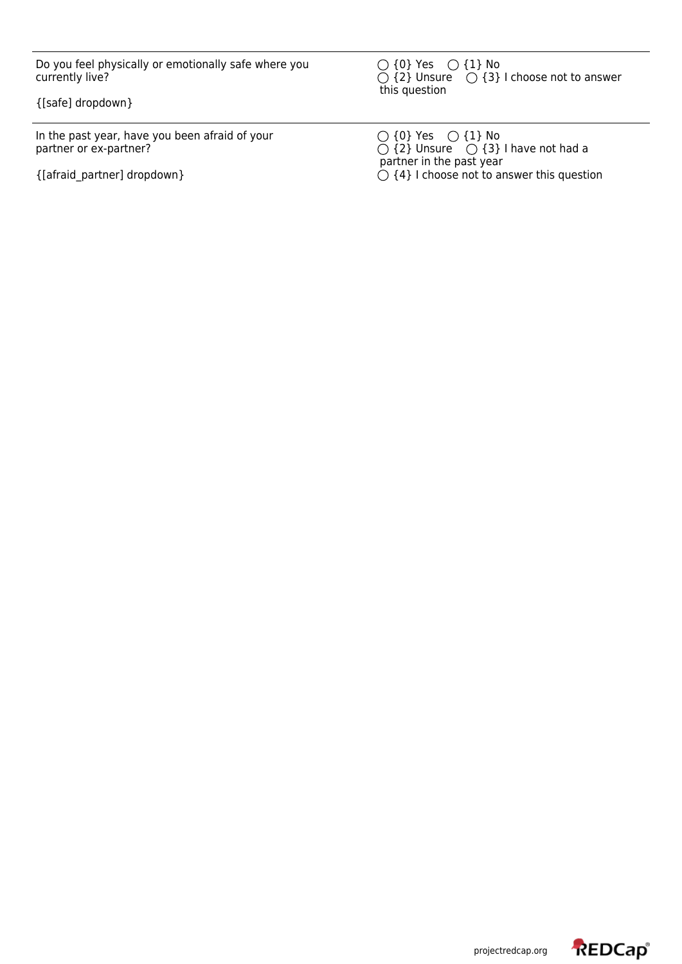Do you feel physically or emotionally safe where you currently live?

{[safe] dropdown}

In the past year, have you been afraid of your partner or ex-partner?

{[afraid\_partner] dropdown}

 $\{0\}$  Yes  $\bigcirc$   $\{1\}$  No  ${2}$  Unsure  $\bigcirc$   ${3}$  I choose not to answer this question

 $\{0\}$  Yes  $\bigcirc$   $\{1\}$  No  ${2}$  Unsure  ${O}$   ${3}$  I have not had a partner in the past year {4} I choose not to answer this question

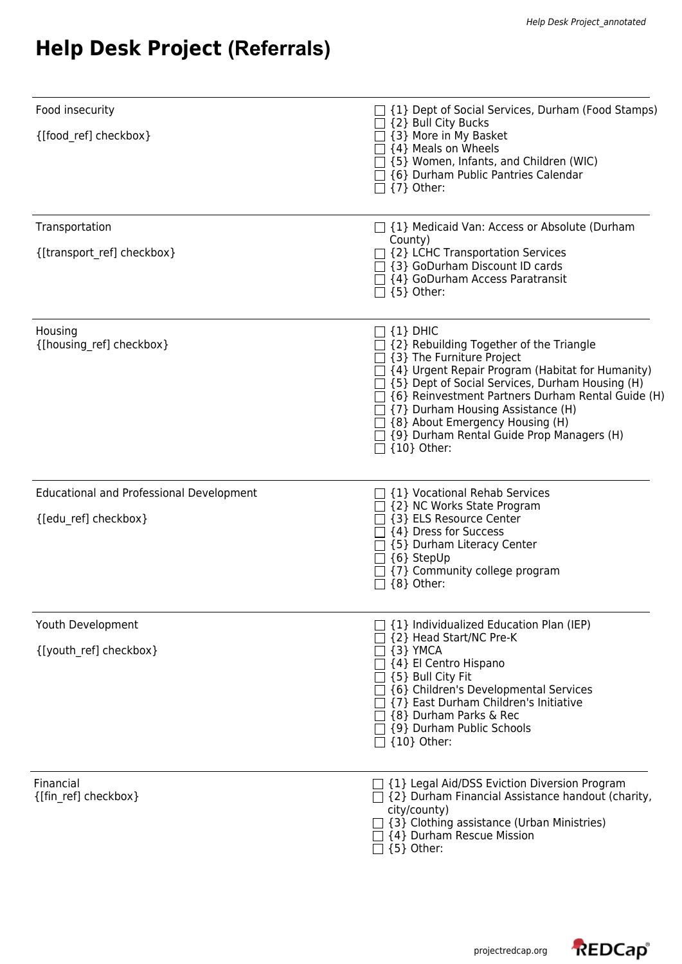## **Help Desk Project (Referrals)**

| Food insecurity                                 | □ {1} Dept of Social Services, Durham (Food Stamps)                                                                                                                                                                                                                                                                                                                                                                                         |
|-------------------------------------------------|---------------------------------------------------------------------------------------------------------------------------------------------------------------------------------------------------------------------------------------------------------------------------------------------------------------------------------------------------------------------------------------------------------------------------------------------|
| {[food ref] checkbox}                           | $\Box$ {2} Bull City Bucks<br>$\Box$ {3} More in My Basket<br>$\exists$ {4} Meals on Wheels<br>{5} Women, Infants, and Children (WIC)<br>{6} Durham Public Pantries Calendar<br>$\Box$ {7} Other:                                                                                                                                                                                                                                           |
| Transportation                                  | $\Box$ {1} Medicaid Van: Access or Absolute (Durham<br>County)                                                                                                                                                                                                                                                                                                                                                                              |
| {[transport_ref] checkbox}                      | $\Box$ {2} LCHC Transportation Services<br>□ {3} GoDurham Discount ID cards<br>$\Box$ {4} GoDurham Access Paratransit<br>$\Box$ {5} Other:                                                                                                                                                                                                                                                                                                  |
| Housing<br>{[housing ref] checkbox}             | $\Box$ {1} dhic<br>$\supset$ {2} Rebuilding Together of the Triangle<br>$\exists$ {3} The Furniture Project<br>$\Box$ {4} Urgent Repair Program (Habitat for Humanity)<br>$\Box$ {5} Dept of Social Services, Durham Housing (H)<br>[6] [6] Reinvestment Partners Durham Rental Guide (H)<br>{7} Durham Housing Assistance (H)<br>$\Box$ {8} About Emergency Housing (H)<br>{9} Durham Rental Guide Prop Managers (H)<br>$\Box$ {10} Other: |
| <b>Educational and Professional Development</b> | $\Box$ {1} Vocational Rehab Services                                                                                                                                                                                                                                                                                                                                                                                                        |
| {[edu_ref] checkbox}                            | {2} NC Works State Program<br>{3} ELS Resource Center<br>{4} Dress for Success<br>{5} Durham Literacy Center<br>{6} StepUp<br>{7} Community college program<br>${8}$ Other:                                                                                                                                                                                                                                                                 |
| Youth Development                               | {1} Individualized Education Plan (IEP)                                                                                                                                                                                                                                                                                                                                                                                                     |
| {[youth_ref] checkbox}                          | {2} Head Start/NC Pre-K<br>{3} YMCA<br>{4} El Centro Hispano<br>$\exists$ {5} Bull City Fit<br>{6} Children's Developmental Services<br>{7} East Durham Children's Initiative<br>{8} Durham Parks & Rec<br>{9} Durham Public Schools<br>$\Box$ {10} Other:                                                                                                                                                                                  |
| Financial<br>{[fin ref] checkbox}               | $\Box$ {1} Legal Aid/DSS Eviction Diversion Program<br>$\Box$ {2} Durham Financial Assistance handout (charity,<br>city/county)<br>{3} Clothing assistance (Urban Ministries)<br>$\lceil$ {4} Durham Rescue Mission<br>${5}$ Other:                                                                                                                                                                                                         |

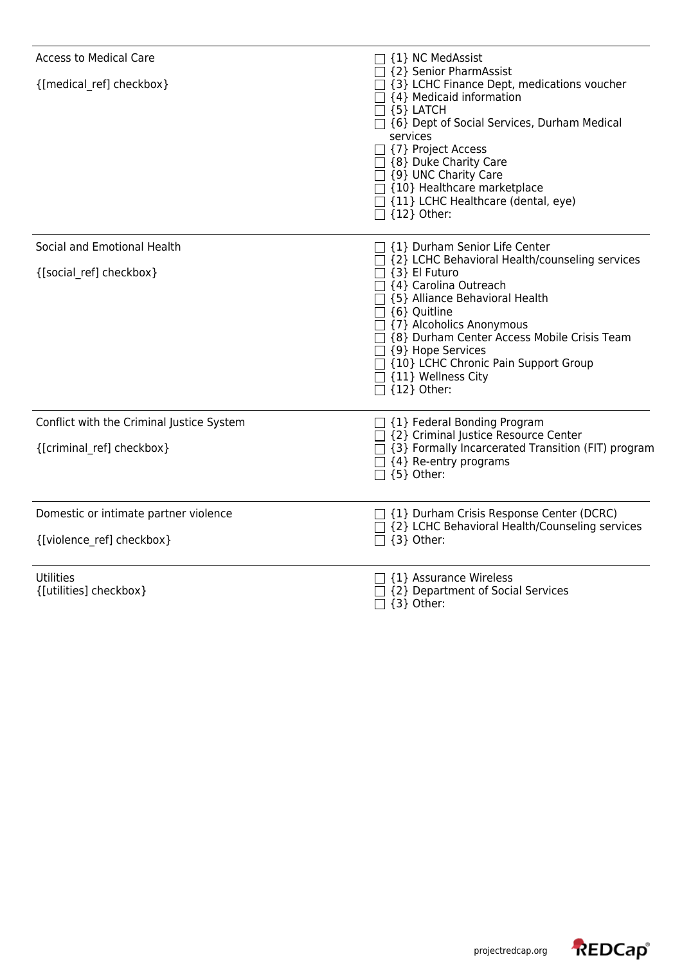| <b>Access to Medical Care</b><br>{[medical ref] checkbox} | {1} NC MedAssist<br>{2} Senior PharmAssist<br>□ {3} LCHC Finance Dept, medications voucher<br>↑ {4} Medicaid information<br>$\sqsupset$ {5} LATCH<br>□ {6} Dept of Social Services, Durham Medical<br>services<br>□ {7} Project Access<br>□ {8} Duke Charity Care<br>$\Box$ {9} UNC Charity Care<br>$\exists$ {10} Healthcare marketplace<br>$\Box$ {11} LCHC Healthcare (dental, eye)<br>{12} Other: |
|-----------------------------------------------------------|-------------------------------------------------------------------------------------------------------------------------------------------------------------------------------------------------------------------------------------------------------------------------------------------------------------------------------------------------------------------------------------------------------|
| Social and Emotional Health                               | □ {1} Durham Senior Life Center<br>3 {2} LCHC Behavioral Health/counseling services                                                                                                                                                                                                                                                                                                                   |
| {[social_ref] checkbox}                                   | $\top$ {3} El Futuro<br>□ {4} Carolina Outreach<br>□ {5} Alliance Behavioral Health<br>{6} Quitline<br>□ {7} Alcoholics Anonymous<br>□ {8} Durham Center Access Mobile Crisis Team<br>$\Box$ {9} Hope Services<br>□ {10} LCHC Chronic Pain Support Group<br>$\top$ {11} Wellness City<br>$\Box$ {12} Other:                                                                                           |
| Conflict with the Criminal Justice System                 | $\Box$ {1} Federal Bonding Program                                                                                                                                                                                                                                                                                                                                                                    |
| {[criminal ref] checkbox}                                 | □ {2} Criminal Justice Resource Center<br>$\Box$ {3} Formally Incarcerated Transition (FIT) program<br>$\Box$ {4} Re-entry programs<br>$\Box$ {5} Other:                                                                                                                                                                                                                                              |
| Domestic or intimate partner violence                     | $\Box$ {1} Durham Crisis Response Center (DCRC)<br>$\exists$ {2} LCHC Behavioral Health/Counseling services                                                                                                                                                                                                                                                                                           |
| {[violence_ref] checkbox}                                 | $\Box$ {3} Other:                                                                                                                                                                                                                                                                                                                                                                                     |
| <b>Utilities</b><br>{[utilities] checkbox}                | $\lceil$ {1} Assurance Wireless<br>{2} Department of Social Services                                                                                                                                                                                                                                                                                                                                  |
|                                                           | $\{3\}$ Other:                                                                                                                                                                                                                                                                                                                                                                                        |

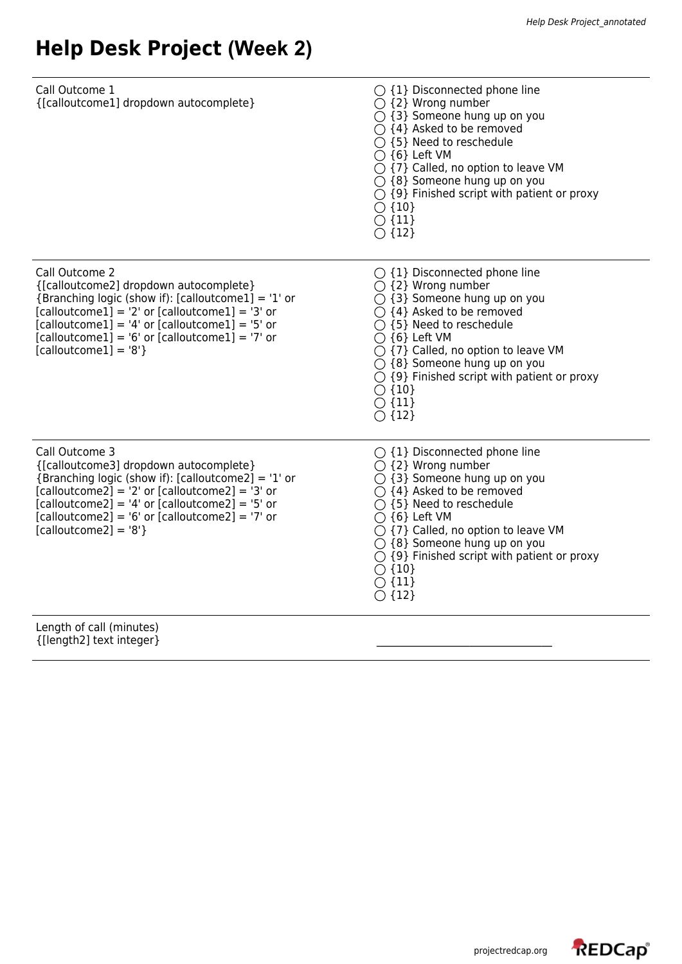## **Help Desk Project (Week 2)**

| Call Outcome 1<br>{[calloutcome1] dropdown autocomplete}                                                                                                                                                                                                                                                  | $\bigcirc$ {1} Disconnected phone line<br>$\bigcirc$ {2} Wrong number<br>$\bigcirc$ {3} Someone hung up on you<br>$\bigcirc$ {4} Asked to be removed<br>$\bigcirc$ {5} Need to reschedule<br>$\bigcirc$ {6} Left VM<br>$\bigcirc$ {7} Called, no option to leave VM<br>$\bigcirc$ {8} Someone hung up on you<br>$\bigcirc$ {9} Finished script with patient or proxy<br>$\bigcirc$ {10}<br>$\bigcirc$ {11}<br>$\bigcirc$ {12} |
|-----------------------------------------------------------------------------------------------------------------------------------------------------------------------------------------------------------------------------------------------------------------------------------------------------------|-------------------------------------------------------------------------------------------------------------------------------------------------------------------------------------------------------------------------------------------------------------------------------------------------------------------------------------------------------------------------------------------------------------------------------|
| Call Outcome 2<br>{[calloutcome2] dropdown autocomplete}<br>{Branching logic (show if): [calloutcome1] = '1' or<br>$[caloutcome1] = '2'$ or $[caloutcome1] = '3'$ or<br>$[caloutcome1] = '4'$ or $[caloutcome1] = '5'$ or<br>$[caloutcome1] = '6'$ or $[caloutcome1] = '7'$ or<br>$[cal] = '8'$           | $\bigcirc$ {1} Disconnected phone line<br>$\bigcirc$ {2} Wrong number<br>$\bigcirc$ {3} Someone hung up on you<br>$\bigcirc$ {4} Asked to be removed<br>$\bigcirc$ {5} Need to reschedule<br>$\bigcirc$ {6} Left VM<br>$\bigcirc$ {7} Called, no option to leave VM<br>$\bigcirc$ {8} Someone hung up on you<br>$\bigcirc$ {9} Finished script with patient or proxy<br>$\bigcirc$ {10}<br>$\bigcirc$ {11}<br>$\bigcirc$ {12} |
| Call Outcome 3<br>{[calloutcome3] dropdown autocomplete}<br>{Branching logic (show if): [calloutcome2] = $'1'$ or<br>$[caloutcome2] = '2'$ or $[caloutcome2] = '3'$ or<br>$[caloutcome2] = '4'$ or $[caloutcome2] = '5'$ or<br>$[caloutcome2] = '6'$ or $[caloutcome2] = '7'$ or<br>$[caloutcome2] = '8'$ | $\bigcirc$ {1} Disconnected phone line<br>$\bigcirc$ {2} Wrong number<br>$\bigcirc$ {3} Someone hung up on you<br>$\bigcirc$ {4} Asked to be removed<br>$\bigcirc$ {5} Need to reschedule<br>$\bigcap$ {6} Left VM<br>$\bigcirc$ {7} Called, no option to leave VM<br>$\bigcirc$ {8} Someone hung up on you<br>$\bigcirc$ {9} Finished script with patient or proxy<br>$\bigcirc$ {10}<br>$\bigcirc$ {11}<br>$\bigcirc$ {12}  |
| Length of call (minutes)<br>{[length2] text integer}                                                                                                                                                                                                                                                      |                                                                                                                                                                                                                                                                                                                                                                                                                               |

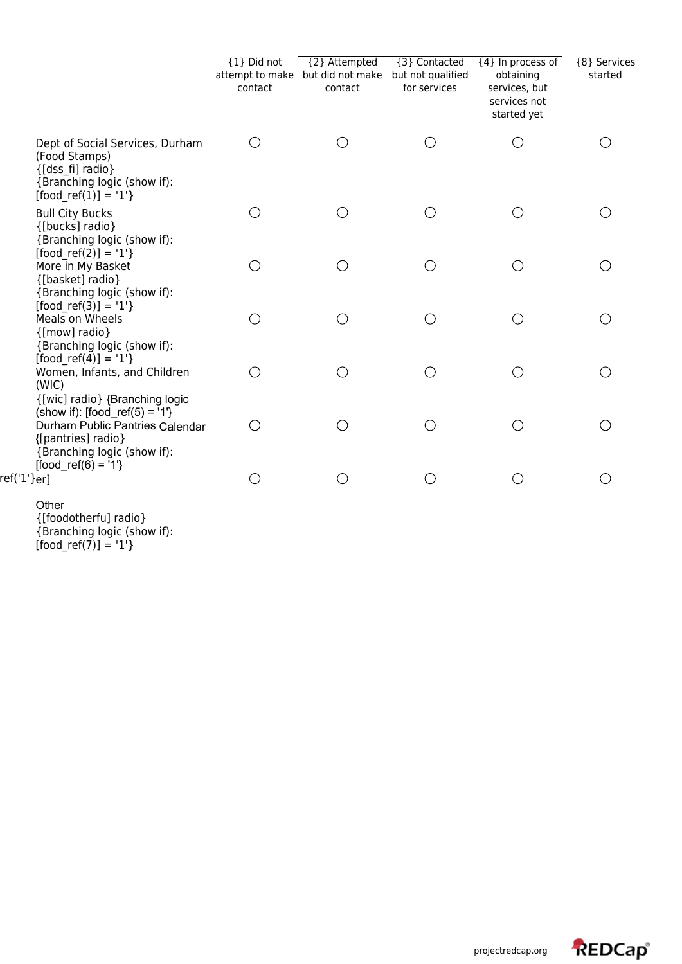|                                                                                                                              | {1} Did not<br>contact | {2} Attempted<br>attempt to make but did not make<br>contact | {3} Contacted<br>but not qualified<br>for services | {4} In process of<br>obtaining<br>services, but<br>services not<br>started yet | {8} Services<br>started |
|------------------------------------------------------------------------------------------------------------------------------|------------------------|--------------------------------------------------------------|----------------------------------------------------|--------------------------------------------------------------------------------|-------------------------|
| Dept of Social Services, Durham<br>(Food Stamps)<br>{[dss fi] radio}<br>{Branching logic (show if):<br>$[food ref(1)] = '1'$ | ( )                    | $($ )                                                        |                                                    | $\bigcirc$                                                                     |                         |
| <b>Bull City Bucks</b><br>{[bucks] radio}<br>{Branching logic (show if):<br>$[food ref(2)] = '1'$                            | $( \ )$                | $(\ )$                                                       | ∩                                                  | $\left(\begin{array}{c} \end{array}\right)$                                    |                         |
| More in My Basket<br>{[basket] radio}<br>{Branching logic (show if):<br>$[food ref(3)] = '1'$                                | Ω                      | ◯                                                            | ∩                                                  | ∩                                                                              |                         |
| Meals on Wheels<br>{[mow] radio}<br>{Branching logic (show if):<br>$[food ref(4)] = '1'$                                     | $( \ )$                | $(\ )$                                                       | ∩                                                  | $\left(\begin{array}{c} \end{array}\right)$                                    |                         |
| Women, Infants, and Children<br>(WIC)<br>{[wic] radio} {Branching logic<br>(show if): [food_ref(5) = '1'}                    |                        | $\left(\begin{array}{c} \end{array}\right)$                  | ∩                                                  | ∩                                                                              |                         |
| Durham Public Pantries Calendar<br>{[pantries] radio}<br>{Branching logic (show if):<br>$[food_ref(6) = '1']$                | ( )                    | O                                                            | ∩                                                  | ∩                                                                              |                         |
| ref('1'}er]                                                                                                                  |                        | O                                                            | ∩                                                  |                                                                                |                         |

Other {[foodotherfu] radio} {Branching logic (show if): [food\_ref(7)] = '1'}

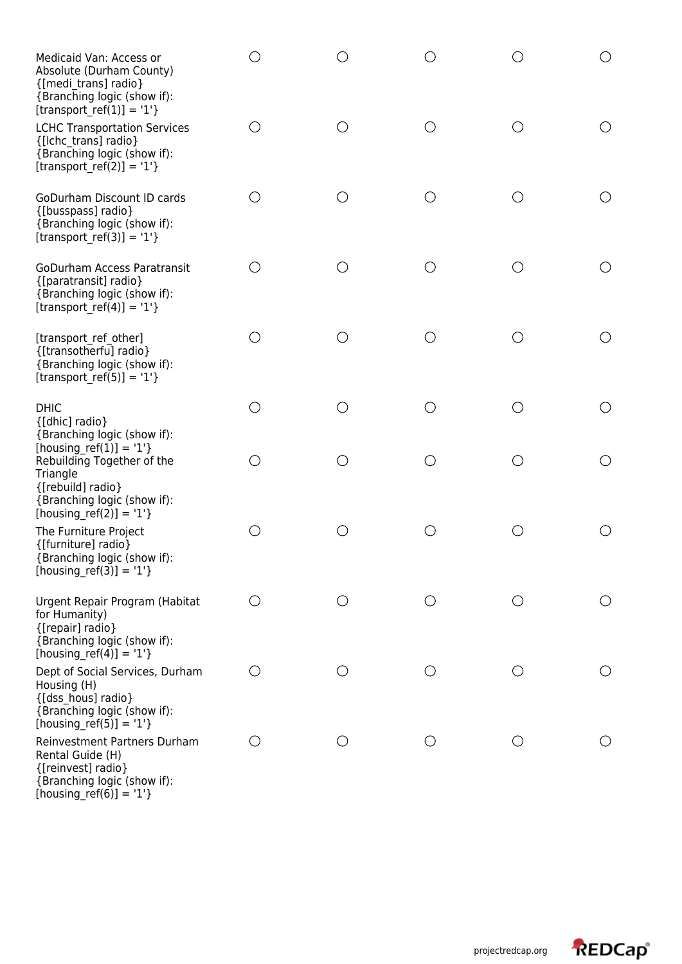| Medicaid Van: Access or<br>Absolute (Durham County)<br>{[medi trans] radio}<br>{Branching logic (show if):                                           |                                                 |     |            |     | $\bigcirc$                                    |
|------------------------------------------------------------------------------------------------------------------------------------------------------|-------------------------------------------------|-----|------------|-----|-----------------------------------------------|
| [transport ref(1)] = '1'}<br><b>LCHC Transportation Services</b><br>{[Ichc trans] radio}<br>{Branching logic (show if):<br>[transport_ref(2)] = '1'} | ◯                                               |     | $\bigcirc$ | ( ) |                                               |
| GoDurham Discount ID cards<br>{[busspass] radio}<br>{Branching logic (show if):<br>[transport ref(3)] = '1'}                                         | $\left(\right)$                                 | ()  | O          | O   | ( )                                           |
| <b>GoDurham Access Paratransit</b><br>{[paratransit] radio}<br>{Branching logic (show if):<br>[transport_ref(4)] = '1'}                              | ◯                                               |     | ○          | ( ) |                                               |
| [transport ref other]<br>{[transotherfu] radio}<br>{Branching logic (show if):<br>[transport ref(5)] = '1'}                                          | $(\ )$                                          |     | $(\ )$     | ( ) | ( )                                           |
| <b>DHIC</b><br>{[dhic] radio}<br>{Branching logic (show if):                                                                                         | O                                               | ( ) | ∩          | ∩   |                                               |
| [housing ref(1)] = '1'}<br>Rebuilding Together of the<br>Triangle<br>{[rebuild] radio}<br>{Branching logic (show if):<br>[housing_ref(2)] = '1'}     | ()                                              |     | ○          | ( ) | $\left(\begin{array}{c} 1 \end{array}\right)$ |
| The Furniture Project<br>{[furniture] radio}<br>{Branching logic (show if):<br>$[housing_ref(3)] = '1'$ }                                            | $(\ )$                                          |     | ◯          | ( ) |                                               |
| Urgent Repair Program (Habitat<br>for Humanity)<br>{[repair] radio}<br>{Branching logic (show if):<br>[housing ref(4)] = '1'}                        | О                                               |     | O          |     |                                               |
| Dept of Social Services, Durham<br>Housing (H)<br>{[dss hous] radio}<br>{Branching logic (show if):<br>[housing_ref(5)] = $'1'$ }                    | $\left( \begin{array}{c} 1 \end{array} \right)$ | O   | O          | O   | ( )                                           |
| Reinvestment Partners Durham<br>Rental Guide (H)<br>{[reinvest] radio}<br>{Branching logic (show if):<br>[housing_ref(6)] = $'1'$ }                  | ()                                              | ()  | O          | ()  |                                               |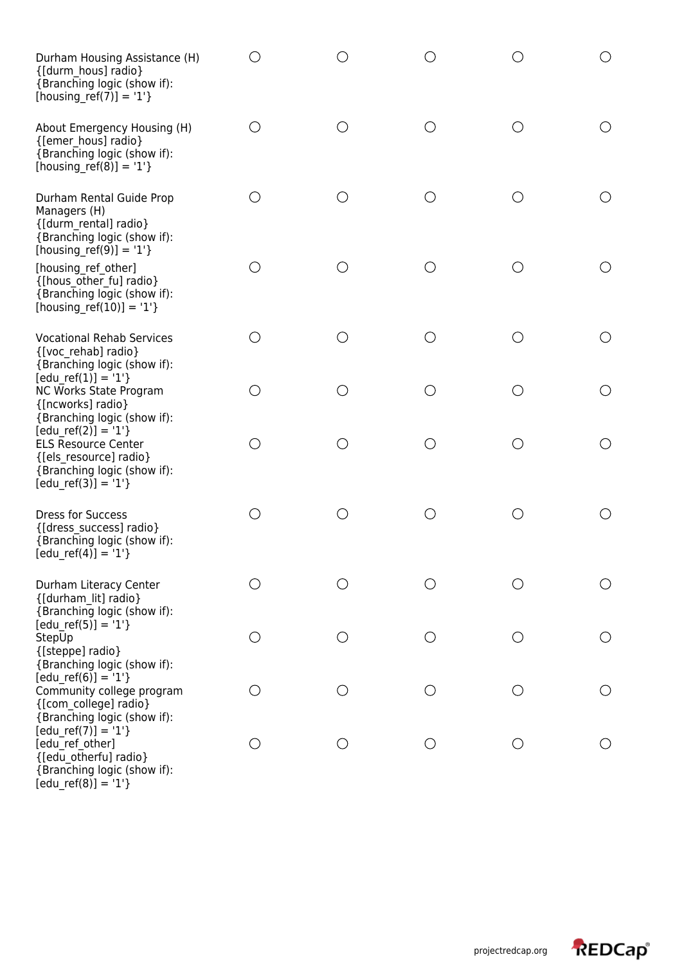| Durham Housing Assistance (H)<br>{[durm hous] radio}<br>{Branching logic (show if):<br>[housing_ref(7)] = '1'}                      |                 |         |            |                        |                                               |
|-------------------------------------------------------------------------------------------------------------------------------------|-----------------|---------|------------|------------------------|-----------------------------------------------|
| About Emergency Housing (H)<br>{[emer hous] radio}<br>{Branching logic (show if):<br>[housing ref(8)] = $'1'$ }                     | ○               | ◯       | О          | ∩                      |                                               |
| Durham Rental Guide Prop<br>Managers (H)<br>{[durm rental] radio}<br>{Branching logic (show if):<br>[housing_ref(9)] = $'1'$ }      | ()              |         | O          | $\left( \quad \right)$ |                                               |
| [housing ref other]<br>{[hous other fu] radio}<br>{Branching logic (show if):<br>[housing_ref(10)] = '1'}                           | О               |         | ○          | ◯                      |                                               |
| <b>Vocational Rehab Services</b><br>{[voc rehab] radio}<br>{Branching logic (show if):                                              | ◯               |         | $\bigcirc$ | $\left( \quad \right)$ | $\left(\begin{array}{c} 1 \end{array}\right)$ |
| $[edu_ref(1)] = '1'$<br>NC Works State Program<br>{[ncworks] radio}<br>{Branching logic (show if):                                  | O               | $( \ )$ | ◯          | ◯                      | O                                             |
| $[edu_ref(2)] = '1'$<br><b>ELS Resource Center</b><br>{[els resource] radio}<br>{Branching logic (show if):<br>$[edu ref(3)] = '1'$ | О               | ( )     | $\bigcirc$ | ()                     | O                                             |
| <b>Dress for Success</b><br>{[dress success] radio}<br>{Branching logic (show if):<br>$[edu_ref(4)] = '1'$                          | $\bigcirc$      |         | ∩          | ( )                    | $\left(\right)$                               |
| Durham Literacy Center<br>{[durham lit] radio}<br>{Branching logic (show if):                                                       | ◯               |         | ( )        | ( )                    | O                                             |
| $[edu ref(5)] = '1'$<br>StepUp<br>{[steppe] radio}<br>{Branching logic (show if):                                                   | О               | ()      | ◯          | O                      | O                                             |
| $[edu ref(6)] = '1'$<br>Community college program<br>{[com college] radio}<br>{Branching logic (show if):                           | ◯               | ()      | O          | ◯                      | O                                             |
| $[edu ref(7)] = '1'$<br>[edu ref other]<br>{[edu_otherfu] radio}<br>{Branching logic (show if):<br>$[edu_ref(8)] = '1'$             | $\left(\right)$ |         | O          | ( )                    | ( )                                           |

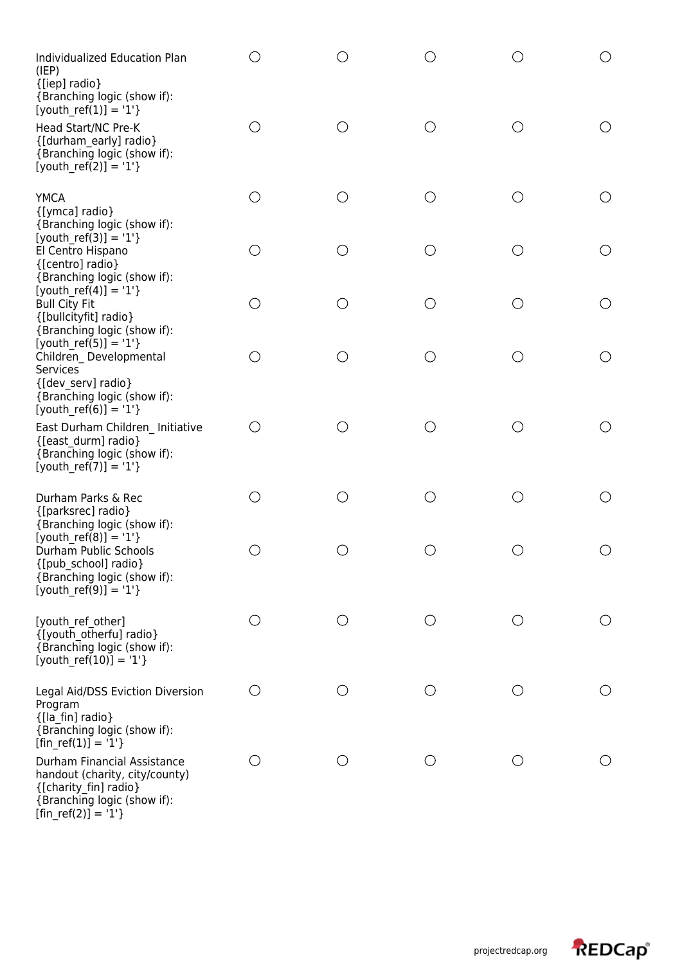| Individualized Education Plan<br>(IEP)<br>{[iep] radio}<br>{Branching logic (show if):                                                         |            |                   | ()         | ( )                                           | ( )                                             |
|------------------------------------------------------------------------------------------------------------------------------------------------|------------|-------------------|------------|-----------------------------------------------|-------------------------------------------------|
| [youth $ref(1)$ ] = '1'}<br>Head Start/NC Pre-K<br>{[durham early] radio}<br>{Branching logic (show if):<br>[youth ref(2)] = '1'}              | O          | ◯                 | O          | O                                             | O                                               |
| <b>YMCA</b><br>{[ymca] radio}<br>{Branching logic (show if):                                                                                   | O          | ( )               | O          | ( )                                           | $\left(\right)$                                 |
| $[$ youth_ref(3)] = '1'}<br>El Centro Hispano<br>{[centro] radio}<br>{Branching logic (show if):                                               | O          | ○                 | $\bigcirc$ | O                                             | O                                               |
| [youth ref(4)] = '1'}<br><b>Bull City Fit</b><br>{[bullcityfit] radio}<br>{Branching logic (show if):                                          | $\bigcirc$ | $\left(\ \right)$ | $\bigcirc$ | $\left(\begin{array}{c} 1 \end{array}\right)$ | $\left(\right)$                                 |
| $[$ youth_ref(5)] = '1'}<br>Children Developmental<br><b>Services</b><br>{[dev serv] radio}                                                    | О          | ○                 | $\bigcirc$ | ∩                                             | O                                               |
| {Branching logic (show if):<br>$[youth_ref(6)] = '1'$<br>East Durham Children Initiative<br>{[east durm] radio}<br>{Branching logic (show if): | О          |                   | O          | ( )                                           | ( )                                             |
| $[$ youth_ref(7)] = '1'}                                                                                                                       |            |                   |            |                                               |                                                 |
| Durham Parks & Rec<br>{[parksrec] radio}<br>{Branching logic (show if):<br>$[$ youth_ref(8)] = '1'}                                            | O          | ◯                 | O          | O                                             | $\left(\begin{array}{c} \end{array}\right)$     |
| Durham Public Schools<br>{[pub_school] radio}<br>{Branching logic (show if):<br>[youth ref(9)] = '1'}                                          |            |                   |            |                                               | ( )                                             |
| [youth ref other]<br>{[youth_otherfu] radio}<br>{Branching logic (show if):<br>[youth ref(10)] = '1'}                                          | O          | ()                | O          | $\bigcirc$                                    | $\left( \begin{array}{c} 1 \end{array} \right)$ |
| Legal Aid/DSS Eviction Diversion<br>Program<br>{[la_fin] radio}<br>{Branching logic (show if):<br>[fin ref(1)] = '1'}                          | O          | ()                | O          | $\left(\begin{array}{c} \end{array}\right)$   | O                                               |
| Durham Financial Assistance<br>handout (charity, city/county)<br>{[charity_fin] radio}<br>{Branching logic (show if):<br>$[fin_ref(2)] = '1'$  | О          | ( )               | $\bigcirc$ | O                                             | O                                               |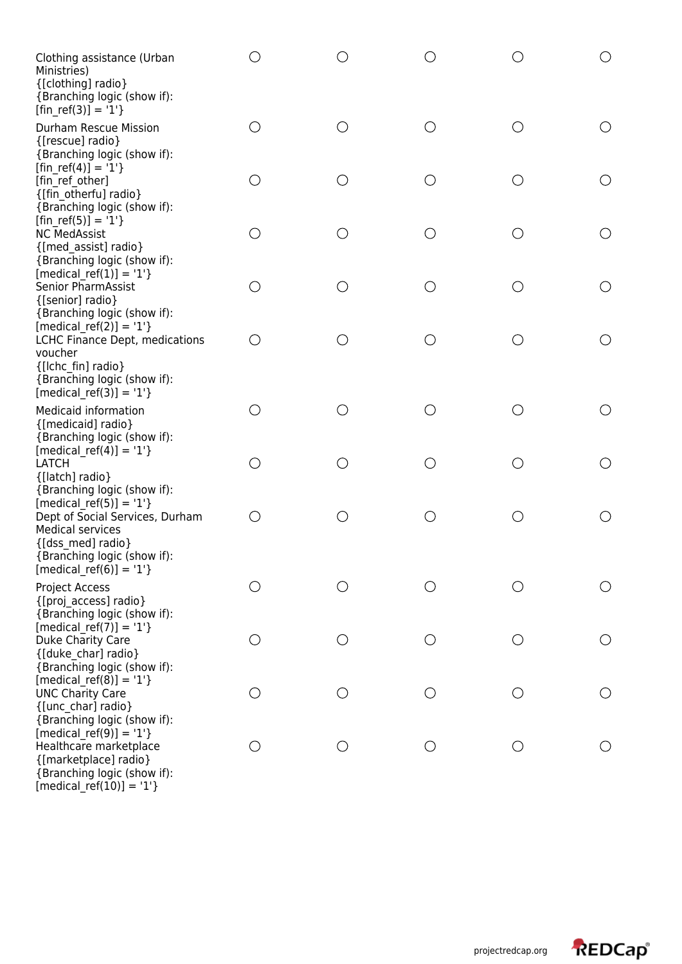| Clothing assistance (Urban<br>Ministries)<br>{[clothing] radio}<br>{Branching logic (show if):<br>$[fin_ref(3)] = '1'$                                                     | ○          |     | $\bigcirc$ |        |        |
|----------------------------------------------------------------------------------------------------------------------------------------------------------------------------|------------|-----|------------|--------|--------|
| <b>Durham Rescue Mission</b><br>{[rescue] radio}<br>{Branching logic (show if):                                                                                            | O          | ()  | $\bigcirc$ | $(\ )$ |        |
| [fin ref(4)] = '1'}<br>[fin ref other]<br>{[fin otherfu] radio}<br>{Branching logic (show if):                                                                             | $\bigcirc$ | ◯   | $\bigcirc$ | ○      |        |
| [fin ref(5)] = '1'}<br><b>NC MedAssist</b><br>{[med assist] radio}<br>{Branching logic (show if):                                                                          | $\bigcirc$ | ( ) | $\bigcirc$ | O      | О      |
| [medical ref(1)] = '1'}<br><b>Senior PharmAssist</b><br>{[senior] radio}<br>{Branching logic (show if):                                                                    | О          | ()  | $\bigcirc$ | ◯      | ○      |
| [medical ref(2)] = $'1'$ }<br>LCHC Finance Dept, medications<br>voucher<br>{[Ichc fin] radio}<br>{Branching logic (show if):<br>$[median_ref(3)] = '1'$                    | O          | ()  | $\bigcirc$ | ( )    | ( )    |
| <b>Medicaid information</b><br>{[medicaid] radio}<br>{Branching logic (show if):                                                                                           | O          | ()  | $\bigcirc$ | ( )    |        |
| [medical ref(4)] = $'1'$ }<br>LATCH<br>{[latch] radio}<br>{Branching logic (show if):                                                                                      | O          | ()  | $\bigcirc$ | ( )    | ()     |
| [medical ref(5)] = $'1'$ }<br>Dept of Social Services, Durham<br><b>Medical services</b><br>{[dss med] radio}<br>{Branching logic (show if):<br>[medical ref(6)] = $'1'$ } | $\bigcirc$ |     | $\bigcirc$ |        |        |
| Project Access<br>{[proj access] radio}<br>{Branching logic (show if):                                                                                                     | O          |     | O          | ()     |        |
| $[median_ref(7)] = '1'$<br>Duke Charity Care<br>{[duke char] radio}<br>{Branching logic (show if):                                                                         | $\bigcirc$ |     | $\bigcirc$ | O      |        |
| [medical ref(8)] = $'1'$ }<br><b>UNC Charity Care</b><br>{[unc_char] radio}<br>{Branching logic (show if):                                                                 | О          |     | $\bigcirc$ | ()     | $(\ )$ |
| $[median_ref(9)] = '1'$<br>Healthcare marketplace<br>{[marketplace] radio}<br>{Branching logic (show if):                                                                  | O          | ( ) | $\bigcirc$ | ◯      |        |

[medical\_ref(10)] = '1'}

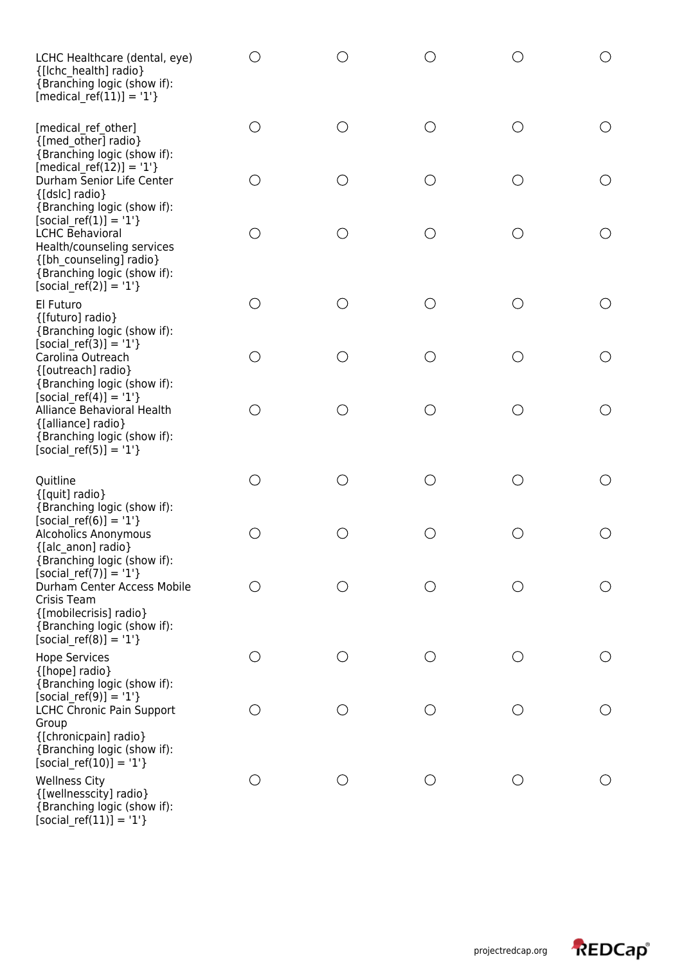| LCHC Healthcare (dental, eye)<br>{[Ichc health] radio}<br>{Branching logic (show if):<br>$[median_ref(11)] = '1'$                                                      |                                             |                                                    |            |                                               | ( )                                           |
|------------------------------------------------------------------------------------------------------------------------------------------------------------------------|---------------------------------------------|----------------------------------------------------|------------|-----------------------------------------------|-----------------------------------------------|
| [medical ref other]<br>{[med other] radio}<br>{Branching logic (show if):                                                                                              | O                                           | ○                                                  | $\bigcirc$ | O                                             | O                                             |
| [medical ref(12)] = '1'}<br>Durham Senior Life Center<br>{[dslc] radio}<br>{Branching logic (show if):                                                                 | $\left(\begin{array}{c} \end{array}\right)$ | $\left(\begin{array}{c} 0 \\ 0 \end{array}\right)$ | O          | O                                             | $\bigcirc$                                    |
| [social ref(1)] = $'1'$ }<br><b>LCHC Behavioral</b><br>Health/counseling services<br>{[bh counseling] radio}<br>{Branching logic (show if):<br>$[social_ref(2)] = '1'$ | О                                           | ( )                                                | O          | ○                                             | $\bigcirc$                                    |
| El Futuro<br>{[futuro] radio}<br>{Branching logic (show if):                                                                                                           | $\left(\right)$                             | ( )                                                | ()         | ( )                                           | $\left(\begin{array}{c} 1 \end{array}\right)$ |
| [social ref(3)] = $'1'$ }<br>Carolina Outreach<br>{[outreach] radio}<br>{Branching logic (show if):                                                                    | ○                                           | ∩                                                  | ◯          | ∩                                             | O                                             |
| [social ref(4)] = $'1'$ }<br>Alliance Behavioral Health<br>{[alliance] radio}<br>{Branching logic (show if):<br>$[social_ref(5)] = '1'$                                | ( )                                         |                                                    | $\bigcirc$ | $\left(\begin{array}{c} 1 \end{array}\right)$ | $\bigcirc$                                    |
| Quitline<br>{[quit] radio}<br>{Branching logic (show if):                                                                                                              | ◯                                           | ∩                                                  | ◯          | ∩                                             | O                                             |
| [social ref(6)] = $'1'$ }<br>Alcoholics Anonymous<br>{[alc_anon] radio}<br>{Branching logic (show if):                                                                 |                                             |                                                    | ()         |                                               | $\left(\begin{array}{c} \end{array}\right)$   |
| [social ref(7)] = $'1'$ }<br>Durham Center Access Mobile<br>Crisis Team<br>{[mobilecrisis] radio}<br>{Branching logic (show if):<br>$[social_ref(8)] = '1'$            | ()                                          | ○                                                  | O          | O                                             |                                               |
| <b>Hope Services</b><br>{[hope] radio}<br>{Branching logic (show if):                                                                                                  | ()                                          | $\left(\begin{array}{c} \end{array}\right)$        | O          | ( )                                           | $\left(\begin{array}{c} 1 \end{array}\right)$ |
| [social ref(9)] = $'1'$ }<br>LCHC Chronic Pain Support<br>Group<br>{[chronicpain] radio}<br>{Branching logic (show if):<br>$[social_ref(10)] = '1'$                    | ( )                                         | $\left(\right)$                                    | $\bigcirc$ | O                                             |                                               |
| <b>Wellness City</b><br>{[wellnesscity] radio}<br>{Branching logic (show if):<br>$[social_ref(11)] = '1'$                                                              | $\left( \quad \right)$                      |                                                    | ○          | ( )                                           |                                               |

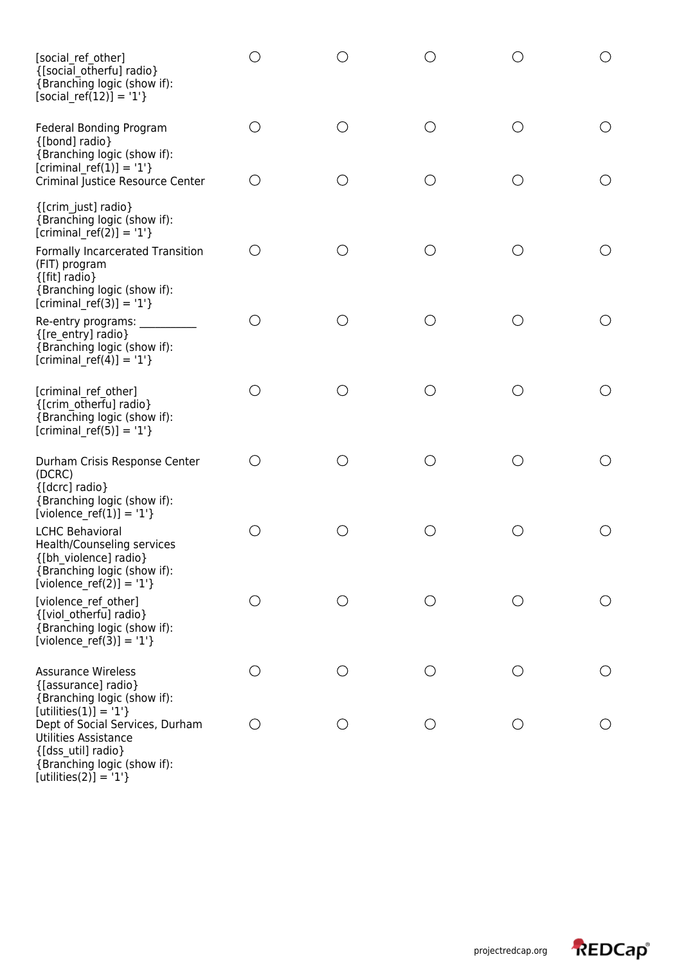| [social ref other]<br>{[social_otherfu] radio}<br>{Branching logic (show if):<br>$[social_ref(12)] = '1'$                                                               |                                             |                                               |     |                                               |     |
|-------------------------------------------------------------------------------------------------------------------------------------------------------------------------|---------------------------------------------|-----------------------------------------------|-----|-----------------------------------------------|-----|
| <b>Federal Bonding Program</b><br>{[bond] radio}<br>{Branching logic (show if):                                                                                         | ()                                          | ( )                                           | ○   | O                                             |     |
| [criminal ref(1)] = '1'}<br>Criminal Justice Resource Center                                                                                                            | $\left(\begin{array}{c} \end{array}\right)$ |                                               | ◯   | $(\ )$                                        |     |
| {[crim just] radio}<br>{Branching logic (show if):<br>[criminal ref(2)] = $'1'$ }                                                                                       |                                             |                                               |     |                                               |     |
| Formally Incarcerated Transition<br>(FIT) program<br>{[fit] radio}<br>{Branching logic (show if):<br>[criminal ref(3)] = $'1'$ }                                        | ()                                          | ()                                            | ( ) | O                                             |     |
| Re-entry programs:<br>{[re_entry] radio}<br>{Branching logic (show if):<br>[criminal ref(4)] = $'1'$ }                                                                  | O                                           |                                               | ○   | O                                             |     |
| [criminal ref other]<br>{[crim_otherfu] radio}<br>{Branching logic (show if):<br>$[criminal_ref(5)] = '1'$                                                              | ()                                          |                                               | ( ) | ( )                                           |     |
| Durham Crisis Response Center<br>(DCRC)<br>{[dcrc] radio}<br>{Branching logic (show if):<br>[violence_ref(1)] = '1'}                                                    | ()                                          |                                               | ∩   | $\left(\begin{array}{c} 1 \end{array}\right)$ |     |
| <b>LCHC Behavioral</b><br>Health/Counseling services<br>{[bh_violence] radio}<br>{Branching logic (show if):<br>[violence ref(2)] = '1'}                                | ()                                          |                                               | ( ) |                                               |     |
| [violence ref other]<br>{[viol otherfu] radio}<br>{Branching logic (show if):<br>[violence_ref(3)] = '1'}                                                               | ()                                          |                                               | ()  | O                                             |     |
| <b>Assurance Wireless</b><br>{[assurance] radio}<br>{Branching logic (show if):                                                                                         | O                                           | $\left(\begin{array}{c} 1 \end{array}\right)$ | ○   | $\bigcirc$                                    | ( ) |
| $[utilities(1)] = '1'$<br>Dept of Social Services, Durham<br><b>Utilities Assistance</b><br>{[dss util] radio}<br>{Branching logic (show if):<br>$[utilities(2)] = '1'$ | ()                                          | ()                                            | ( ) | $\bigcirc$                                    |     |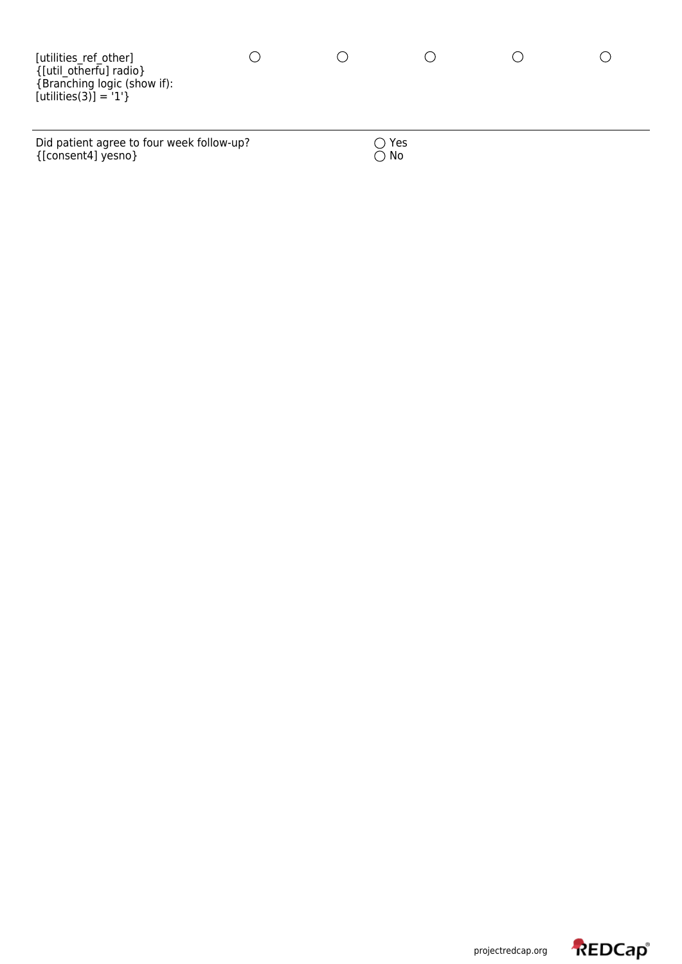| [utilities ref other]<br>{[util otherfu] radio}<br>{Branching logic (show if):<br>$[utilities(3)] = '1'$ |  |     |  |
|----------------------------------------------------------------------------------------------------------|--|-----|--|
| Did patient agree to four week follow-up?                                                                |  | Yes |  |

 $\{$  [consent4] yesno}  $\bigcirc$  No

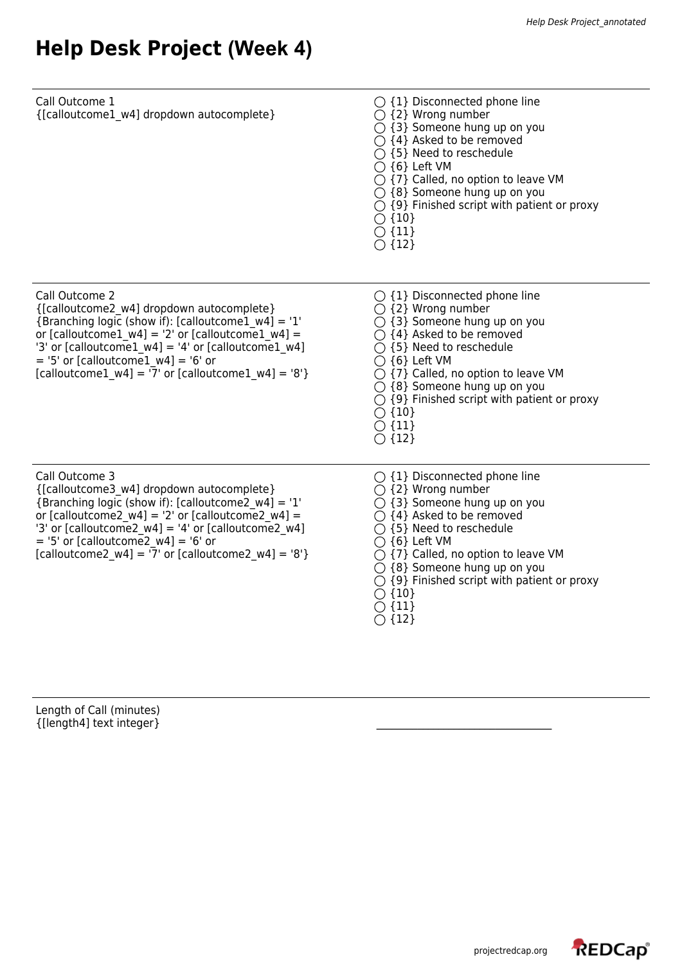# **Help Desk Project (Week 4)**

| Call Outcome 1<br>{[calloutcome1_w4] dropdown autocomplete}                                                                                                                                                                                                                                                                                                    | $\bigcirc$ {1} Disconnected phone line<br>$\bigcirc$ {2} Wrong number<br>$\bigcirc$ {3} Someone hung up on you<br>$\bigcirc$ {4} Asked to be removed<br>$\bigcirc$ {5} Need to reschedule<br>$\bigcirc$ {6} Left VM<br>$\bigcirc$ {7} Called, no option to leave VM<br>$\bigcirc$ {8} Someone hung up on you<br>$\bigcirc$ {9} Finished script with patient or proxy<br>$\bigcirc$ {10}<br>$\bigcirc$ {11}<br>$\bigcirc$ {12} |
|----------------------------------------------------------------------------------------------------------------------------------------------------------------------------------------------------------------------------------------------------------------------------------------------------------------------------------------------------------------|-------------------------------------------------------------------------------------------------------------------------------------------------------------------------------------------------------------------------------------------------------------------------------------------------------------------------------------------------------------------------------------------------------------------------------|
| Call Outcome 2<br>{[calloutcome2 w4] dropdown autocomplete}<br>{Branching logic (show if): [calloutcome1 $w4$ ] = '1'<br>or [calloutcome1 $w4$ ] = '2' or [calloutcome1 $w4$ ] =<br>'3' or [calloutcome1 $w4$ ] = '4' or [calloutcome1 $w4$ ]<br>$=$ '5' or [calloutcome1 w4] = '6' or<br>[calloutcome1 $w4$ ] = $\overline{7}$ or [calloutcome1 $w4$ ] = '8'} | $\bigcirc$ {1} Disconnected phone line<br>$\bigcirc$ {2} Wrong number<br>$\bigcirc$ {3} Someone hung up on you<br>$\bigcirc$ {4} Asked to be removed<br>$\bigcirc$ {5} Need to reschedule<br>$\bigcirc$ {6} Left VM<br>$\bigcirc$ {7} Called, no option to leave VM<br>$\bigcirc$ {8} Someone hung up on you<br>$\bigcirc$ {9} Finished script with patient or proxy<br>$\bigcirc$ {10}<br>$\bigcirc$ {11}<br>$\bigcirc$ {12} |
| Call Outcome 3<br>{[calloutcome3 w4] dropdown autocomplete}<br>{Branching logic (show if): [calloutcome2 $w4$ ] = '1'<br>or [calloutcome2 w4] = '2' or [calloutcome2 w4] =<br>'3' or [calloutcome2 $w4$ ] = '4' or [calloutcome2 $w4$ ]<br>$=$ '5' or [calloutcome2 w4] = '6' or<br>[calloutcome2_w4] = $\overline{7}$ or [calloutcome2 w4] = '8'}             | $\bigcirc$ {1} Disconnected phone line<br>$\bigcirc$ {2} Wrong number<br>$\bigcirc$ {3} Someone hung up on you<br>$\bigcirc$ {4} Asked to be removed<br>$\bigcirc$ {5} Need to reschedule<br>$\bigcirc$ {6} Left VM<br>$\bigcirc$ {7} Called, no option to leave VM<br>$\bigcirc$ {8} Someone hung up on you<br>$\bigcirc$ {9} Finished script with patient or proxy<br>$\bigcirc$ {10}<br>$\bigcirc$ {11}<br>$\bigcirc$ {12} |

Length of Call (minutes)  $\{[\mathsf{length4}]\ \mathsf{text}\ \mathsf{integer}\}$ 

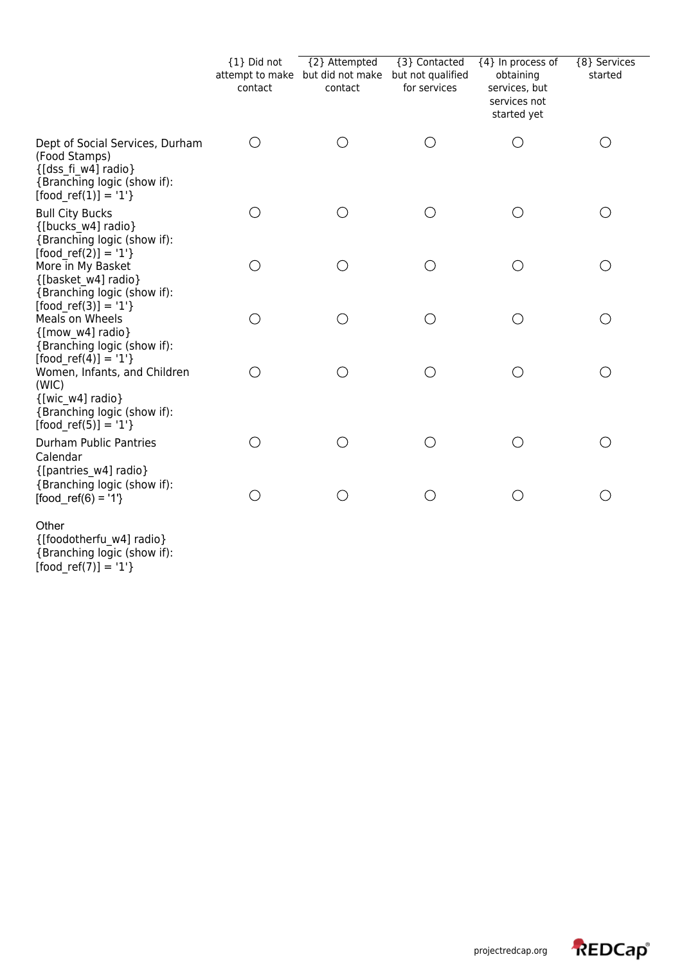|                                                                                                                                                 | {1} Did not<br>contact | {2} Attempted<br>attempt to make but did not make<br>contact | {3} Contacted<br>but not qualified<br>for services | {4} In process of<br>obtaining<br>services, but<br>services not<br>started yet | {8} Services<br>started |  |
|-------------------------------------------------------------------------------------------------------------------------------------------------|------------------------|--------------------------------------------------------------|----------------------------------------------------|--------------------------------------------------------------------------------|-------------------------|--|
| Dept of Social Services, Durham<br>(Food Stamps)<br>{[dss fi w4] radio}<br>{Branching logic (show if):<br>$[food ref(1)] = '1'$ }               | ◯                      | ◯                                                            | O                                                  | ( )                                                                            | O                       |  |
| <b>Bull City Bucks</b><br>{[bucks w4] radio}<br>{Branching logic (show if):                                                                     | $\left(\right)$        | О                                                            | O                                                  | $\bigcirc$                                                                     | О                       |  |
| $[food ref(2)] = '1'$<br>More in My Basket<br>{[basket w4] radio}<br>{Branching logic (show if):                                                | $\bigcirc$             | О                                                            | O                                                  | O                                                                              | $\bigcirc$              |  |
| $[food ref(3)] = '1'$<br>Meals on Wheels<br>${[mow w4] radio]}$<br>{Branching logic (show if):                                                  | O                      | O                                                            | O                                                  | ◯                                                                              | $\bigcirc$              |  |
| $[food ref(4)] = '1'$<br>Women, Infants, and Children<br>(WIC)<br>${[wic w4] radio]}$<br>{Branching logic (show if):<br>$[food ref(5)] = '1'$ } | $\bigcirc$             | O                                                            | O                                                  | $\bigcirc$                                                                     | $\bigcirc$              |  |
| Durham Public Pantries<br>Calendar<br>{[pantries w4] radio}                                                                                     | ◯                      | ◯                                                            | $\bigcirc$                                         |                                                                                | O                       |  |
| {Branching logic (show if):<br>$[food\_ref(6) = '1']$<br>Other<br>{[foodotherfu w4] radio}                                                      | $\bigcirc$             | $\bigcirc$                                                   | ( )                                                |                                                                                | $\bigcirc$              |  |

{Branching logic (show if): [food\_ref(7)] = '1'}

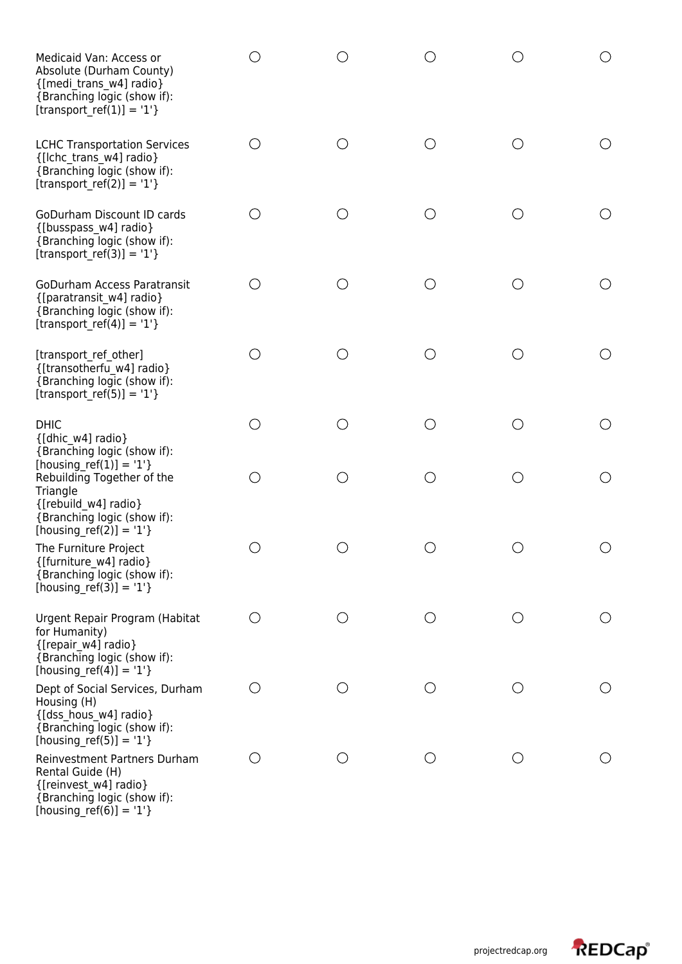| Medicaid Van: Access or<br>Absolute (Durham County)<br>{[medi trans w4] radio}<br>{Branching logic (show if):<br>$[transport_ref(1)] = '1'$                                              | ()                                            |            | O          |                                               | ()                                          |
|------------------------------------------------------------------------------------------------------------------------------------------------------------------------------------------|-----------------------------------------------|------------|------------|-----------------------------------------------|---------------------------------------------|
| <b>LCHC Transportation Services</b><br>{[Ichc trans w4] radio}<br>{Branching logic (show if):<br>$[transport_ref(2)] = '1'$                                                              | $\left(\begin{array}{c} 1 \end{array}\right)$ | ( )        | O          | $\left(\begin{array}{c} 1 \end{array}\right)$ | $\left(\right)$                             |
| GoDurham Discount ID cards<br>{[busspass_w4] radio}<br>{Branching logic (show if):<br>$[transport_ref(3)] = '1'$                                                                         | $(\ )$                                        | $( \ )$    | $\bigcirc$ | ( )                                           | $\left(\begin{array}{c} \end{array}\right)$ |
| <b>GoDurham Access Paratransit</b><br>{[paratransit w4] radio}<br>{Branching logic (show if):<br>[transport_ref(4)] = '1'}                                                               | O                                             | ( )        | $\bigcirc$ | $\left(\begin{array}{c} \end{array}\right)$   | $\left(\begin{array}{c} \end{array}\right)$ |
| [transport ref other]<br>{[transotherfu w4] radio}<br>{Branching logic (show if):<br>[transport ref(5)] = $'1'$ }                                                                        | ()                                            | ()         | $\bigcirc$ | $\left(\begin{array}{c} 1 \end{array}\right)$ | ◯                                           |
| <b>DHIC</b><br>{[dhic w4] radio}                                                                                                                                                         | ◯                                             | ( )        | $\bigcirc$ | ( )                                           | O                                           |
| {Branching logic (show if):<br>[housing_ref(1)] = $'1'$ }<br>Rebuilding Together of the<br>Triangle<br>{[rebuild w4] radio}<br>{Branching logic (show if):<br>[housing_ref(2)] = $'1'$ } | ()                                            | ◯          | $\bigcirc$ | ◯                                             | O                                           |
| The Furniture Project<br>{[furniture w4] radio}<br>{Branching logic (show if):<br>[housing ref(3)] = '1'}                                                                                | O)                                            | O)         | $\bigcirc$ |                                               | O                                           |
| Urgent Repair Program (Habitat<br>for Humanity)<br>{[repair_w4] radio}<br>{Branching logic (show if):<br>[housing ref(4)] = '1'}                                                         | $\left(\right)$                               | $\bigcirc$ | $\bigcirc$ | O                                             | $\left( \right)$                            |
| Dept of Social Services, Durham<br>Housing (H)<br>{[dss hous w4] radio}<br>{Branching logic (show if):<br>[housing ref(5)] = '1'}                                                        | $(\ )$                                        | ()         | $\bigcirc$ | ()                                            | $\left(\begin{array}{c} \end{array}\right)$ |
| Reinvestment Partners Durham<br>Rental Guide (H)<br>{[reinvest_w4] radio}<br>{Branching logic (show if):<br>[housing ref(6)] = $'1'$ }                                                   | ()                                            | ( )        | $\bigcirc$ | ()                                            | ( )                                         |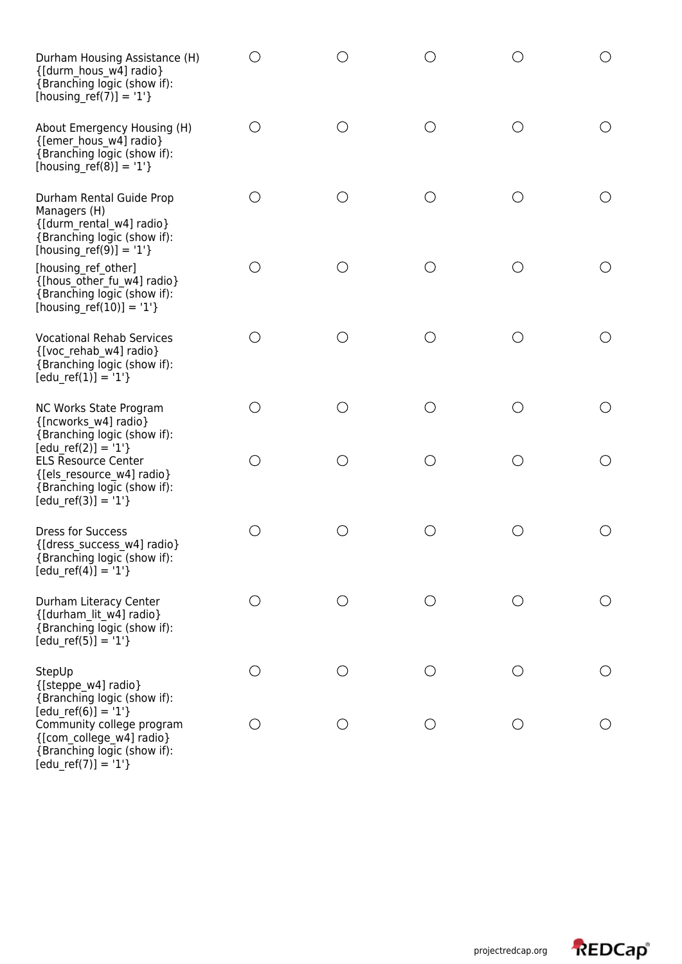| Durham Housing Assistance (H)<br>{[durm hous w4] radio}<br>{Branching logic (show if):<br>[housing_ref(7)] = '1'}                      |                                             |                                               |                 |            |                                                    |
|----------------------------------------------------------------------------------------------------------------------------------------|---------------------------------------------|-----------------------------------------------|-----------------|------------|----------------------------------------------------|
| About Emergency Housing (H)<br>{[emer hous w4] radio}<br>{Branching logic (show if):<br>[housing_ref(8)] = $'1'$ }                     | ()                                          | ◯                                             | О               | O          | $\left(\begin{array}{c} 1 \end{array}\right)$      |
| Durham Rental Guide Prop<br>Managers (H)<br>{[durm_rental_w4] radio}<br>{Branching logic (show if):<br>[housing_ref(9)] = '1'}         | ( )                                         | $\left(\begin{array}{c} 1 \end{array}\right)$ | $\left(\right)$ | ( )        | ()                                                 |
| [housing_ref_other]<br>{[hous_other_fu_w4] radio}<br>{Branching logic (show if):<br>[housing ref(10)] = '1'}                           | O                                           | ◯                                             | ∩               | ( )        |                                                    |
| <b>Vocational Rehab Services</b><br>{[voc rehab w4] radio}<br>{Branching logic (show if):<br>$[edu_ref(1)] = '1'$                      | $\left(\begin{array}{c} \end{array}\right)$ |                                               | О               |            | ( )                                                |
| NC Works State Program<br>{[ncworks w4] radio}<br>{Branching logic (show if):                                                          | O                                           | $\left(\begin{array}{c} 1 \end{array}\right)$ | ◯               | ( )        | $\left(\begin{array}{c} 0 \\ 0 \end{array}\right)$ |
| $[edu ref(2)] = '1'$<br><b>ELS Resource Center</b><br>{[els_resource_w4] radio}<br>{Branching logic (show if):<br>$[edu_ref(3)] = '1'$ | ()                                          | ()                                            | ∩               |            | ()                                                 |
| <b>Dress for Success</b><br>{[dress success w4] radio}<br>{Branching logic (show if):<br>$[edu ref(4)] = '1'$                          | ◯                                           | $(\ )$                                        |                 | $( \ )$    | ()                                                 |
| Durham Literacy Center<br>{[durham lit w4] radio}<br>{Branching logic (show if):<br>$[edu_ref(5)] = '1'$ }                             | О                                           | O                                             | О               | $\bigcirc$ | O                                                  |
| StepUp<br>{[steppe_w4] radio}<br>{Branching logic (show if):                                                                           | ()                                          | O                                             | $\bigcirc$      | $\bigcirc$ | $\bigcirc$                                         |
| $[edu ref(6)] = '1'$<br>Community college program<br>{[com college w4] radio}<br>{Branching logic (show if):<br>$[edu_ref(7)] = '1'$   | O                                           | O                                             | $\bigcirc$      | $\bigcirc$ | O                                                  |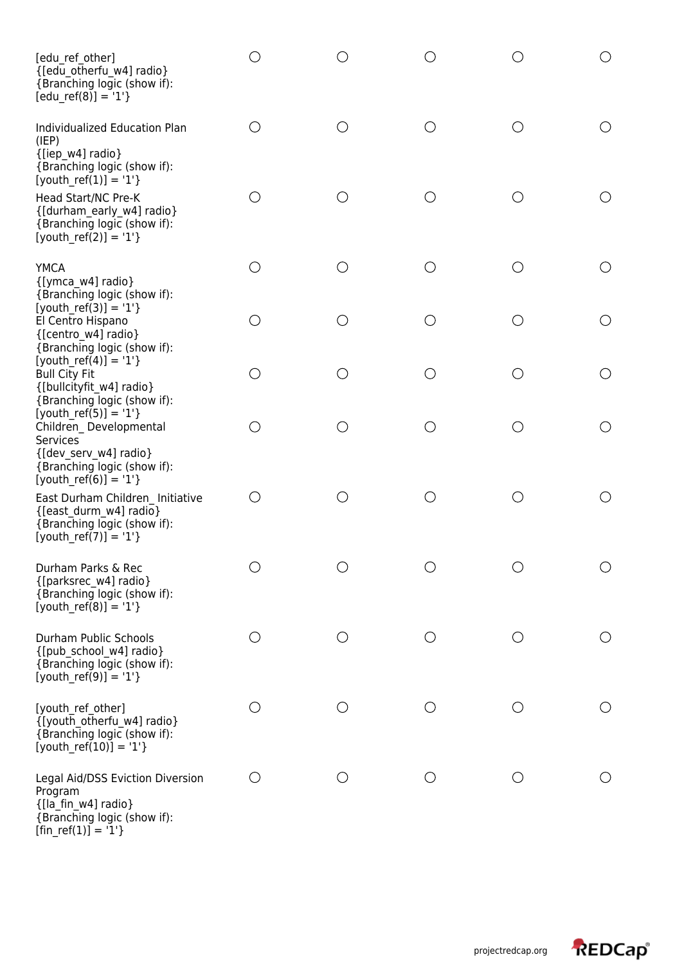| [edu ref other]<br>{[edu otherfu w4] radio}<br>{Branching logic (show if):<br>$[edu_ref(8)] = '1'$                                                  | ()    | ()                                            |        | ( )                                           |            |
|-----------------------------------------------------------------------------------------------------------------------------------------------------|-------|-----------------------------------------------|--------|-----------------------------------------------|------------|
| Individualized Education Plan<br>(IEP)<br>{[iep w4] radio}<br>{Branching logic (show if):<br>$[$ youth_ref(1)] = '1'}                               | ◯     | O                                             | О      | O                                             | ○          |
| Head Start/NC Pre-K<br>{[durham_early_w4] radio}<br>{Branching logic (show if):<br>$[$ youth_ref(2)] = '1'}                                         | ()    | $\left(\begin{array}{c} 1 \end{array}\right)$ | ()     | $\left(\begin{array}{c} 1 \end{array}\right)$ | ( )        |
| <b>YMCA</b><br>{[ymca w4] radio}                                                                                                                    | О     | ∩                                             |        | ○                                             |            |
| {Branching logic (show if):<br>[youth ref(3)] = '1'}<br>El Centro Hispano<br>{[centro w4] radio}<br>{Branching logic (show if):                     | ◯     | ◯                                             | ()     | O                                             | ( )        |
| [youth ref(4)] = '1'}<br><b>Bull City Fit</b><br>{[bullcityfit w4] radio}<br>{Branching logic (show if):                                            | О     | O                                             | ◯      | O                                             |            |
| [youth ref(5)] = '1'}<br>Children Developmental<br><b>Services</b><br>{[dev serv w4] radio}<br>{Branching logic (show if):<br>[youth ref(6)] = '1'} | О     | $(\ )$                                        | $(\ )$ | O                                             |            |
| East Durham Children Initiative<br>{[east durm w4] radio}<br>{Branching logic (show if):<br>$[$ youth_ref(7)] = '1'}                                | $($ ) | O                                             | $(\ )$ | O                                             |            |
| Durham Parks & Rec<br>{[parksrec w4] radio}<br>{Branching logic (show if):<br>$[$ youth_ref(8)] = '1'}                                              |       |                                               | ( )    | ( )                                           | $\bigcirc$ |
| Durham Public Schools<br>{[pub_school_w4] radio}<br>{Branching logic (show if):<br>$[$ youth_ref(9)] = '1'}                                         | О     | O                                             | ( )    | $\bigcirc$                                    | $\bigcirc$ |
| [youth ref other]<br>{[youth_otherfu_w4] radio}<br>{Branching logic (show if):<br>[youth ref(10)] = '1'}                                            | O     | ◯                                             | ○      | ◯                                             | O          |
| Legal Aid/DSS Eviction Diversion<br>Program<br>{[la_fin_w4] radio}<br>{Branching logic (show if):<br>[fin ref(1)] = '1'}                            | ()    | $\bigcirc$                                    |        | ( )                                           |            |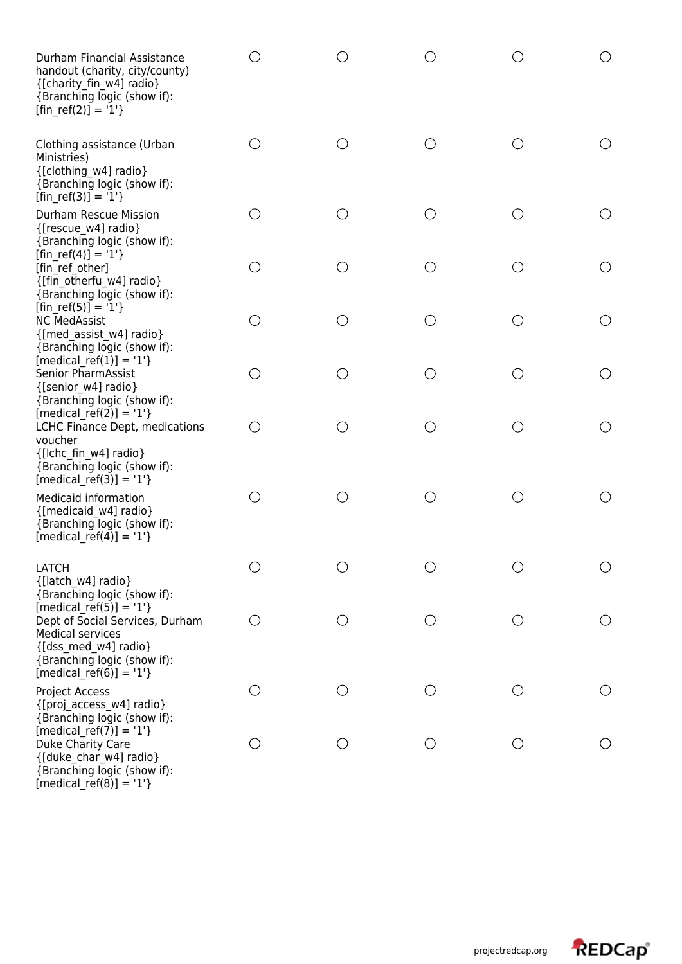| Durham Financial Assistance<br>handout (charity, city/county)<br>{[charity fin w4] radio}<br>{Branching logic (show if):<br>$[fin_ref(2)] = '1'$                           |                                             |                                             | $\bigcirc$ |                 |                                                 |
|----------------------------------------------------------------------------------------------------------------------------------------------------------------------------|---------------------------------------------|---------------------------------------------|------------|-----------------|-------------------------------------------------|
| Clothing assistance (Urban<br>Ministries)<br>{[clothing w4] radio}<br>{Branching logic (show if):<br>$[fin_ref(3)] = '1'$                                                  | ( )                                         | ( )                                         | O          | $\left(\right)$ | $\left( \begin{array}{c} 1 \end{array} \right)$ |
| Durham Rescue Mission<br>{[rescue w4] radio}<br>{Branching logic (show if):                                                                                                | ◯                                           | ( )                                         | $\bigcirc$ | ( )             |                                                 |
| [fin ref(4)] = '1'}<br>[fin ref other]<br>{[fin otherfu w4] radio}<br>{Branching logic (show if):                                                                          | ()                                          | ( )                                         | О          | ◯               | ◯                                               |
| [fin ref(5)] = '1'}<br><b>NC MedAssist</b><br>{[med assist w4] radio}<br>{Branching logic (show if):                                                                       | O                                           | ◯                                           | $\bigcirc$ | O               | ◯                                               |
| [medical ref(1)] = '1'}<br><b>Senior PharmAssist</b><br>{[senior w4] radio}<br>{Branching logic (show if):                                                                 | O                                           | ( )                                         | О          | ◯               | ()                                              |
| [medical ref(2)] = $'1'$ }<br>LCHC Finance Dept, medications<br>voucher<br>{[Ichc fin w4] radio}<br>{Branching logic (show if):<br>[medical ref(3)] = $'1'$ }              | ∩                                           |                                             | $\bigcirc$ | ◯               | O                                               |
| <b>Medicaid information</b><br>{[medicaid w4] radio}<br>{Branching logic (show if):<br>[medical ref(4)] = '1'}                                                             | ()                                          |                                             | O          |                 |                                                 |
| <b>LATCH</b><br>{[latch w4] radio}<br>{Branching logic (show if):                                                                                                          |                                             |                                             | ∩          |                 | O                                               |
| [medical ref(5)] = $'1'$ }<br>Dept of Social Services, Durham<br><b>Medical services</b><br>{[dss med w4] radio}<br>{Branching logic (show if):<br>$[median_ref(6)] = '1'$ | $\left(\begin{array}{c} \end{array}\right)$ | ( )                                         | $\bigcirc$ | ()              | O                                               |
| Project Access<br>{[proj_access_w4] radio}<br>{Branching logic (show if):                                                                                                  | ()                                          | $\left(\begin{array}{c} \end{array}\right)$ | О          | O               | ()                                              |
| [medical ref(7)] = $'1'$ }<br>Duke Charity Care<br>{[duke char w4] radio}<br>{Branching logic (show if):<br>$[median_ref(8)] = '1'$                                        | ()                                          |                                             | О          |                 |                                                 |

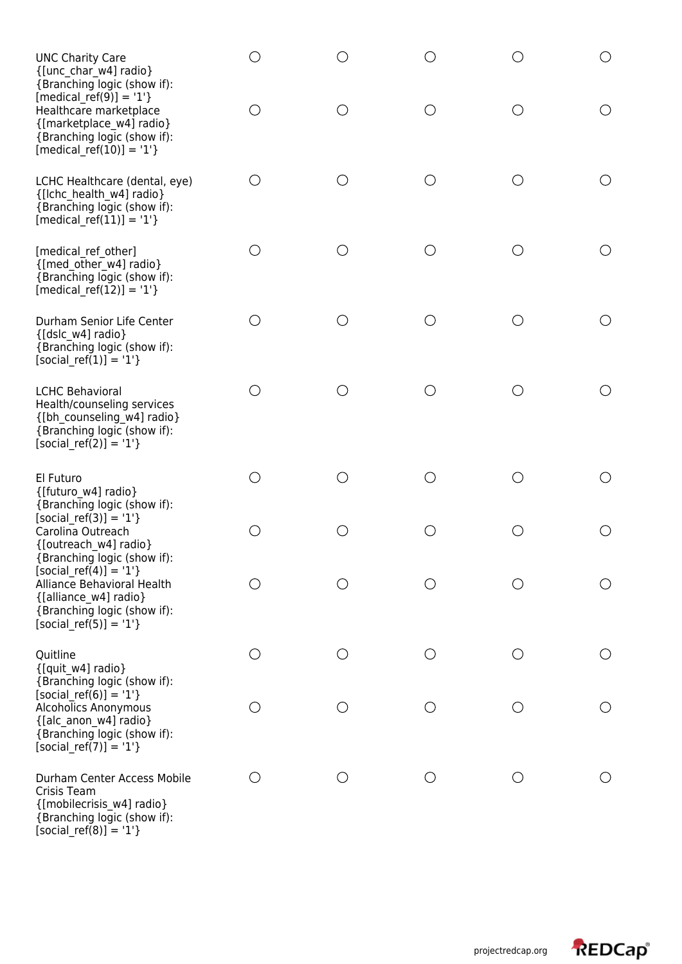| <b>UNC Charity Care</b><br>{[unc_char_w4] radio}<br>{Branching logic (show if):                                                              |                                             |     |                                               |     | ◯               |
|----------------------------------------------------------------------------------------------------------------------------------------------|---------------------------------------------|-----|-----------------------------------------------|-----|-----------------|
| $[median_ref(9)] = '1'$<br>Healthcare marketplace<br>{[marketplace w4] radio}<br>{Branching logic (show if):<br>$[median_ref(10)] = '1'$     | ( )                                         |     | ()                                            | ( ) | O               |
| LCHC Healthcare (dental, eye)<br>{[Ichc health w4] radio}<br>{Branching logic (show if):<br>$[median_ref(11)] = '1'$                         | ◯                                           |     | ◯                                             | ◯   |                 |
| [medical ref other]<br>{[med other w4] radio}<br>{Branching logic (show if):<br>$[median_ref(12)] = '1'$                                     | О                                           |     | O                                             | ( ) |                 |
| Durham Senior Life Center<br>{[dslc w4] radio}<br>{Branching logic (show if):<br>$[social_ref(1)] = '1'$                                     | $(\ )$                                      | ( ) | O                                             | O   |                 |
| <b>LCHC Behavioral</b><br>Health/counseling services<br>{[bh_counseling_w4] radio}<br>{Branching logic (show if):<br>$[social_ref(2)] = '1'$ | O                                           |     | ◯                                             | O   | $(\ )$          |
| El Futuro<br>{[futuro w4] radio}<br>{Branching logic (show if):                                                                              | О                                           | ( ) | ◯                                             | ◯   | ◯               |
| [social ref(3)] = $'1'$ }<br>Carolina Outreach<br>{[outreach w4] radio}<br>{Branching logic (show if):                                       | О                                           |     | ∩                                             | ◯   | $\bigcirc$      |
| [social ref(4)] = '1'}<br>Alliance Behavioral Health<br>{[alliance_w4] radio}<br>{Branching logic (show if):<br>$[social_ref(5)] = '1'$      | ()                                          |     | ()                                            | ( ) | $\left(\right)$ |
| Quitline<br>{[quit_w4] radio}<br>{Branching logic (show if):                                                                                 | O                                           |     | ◯                                             | ◯   | $\left(\right)$ |
| [social ref(6)] = '1'}<br>Alcoholics Anonymous<br>{[alc_anon_w4] radio}<br>{Branching logic (show if):<br>$[social_ref(7)] = '1'$            | $\left(\begin{array}{c} \end{array}\right)$ |     | $\left(\begin{array}{c} 1 \end{array}\right)$ | ( ) | $\bigcirc$      |
| Durham Center Access Mobile<br>Crisis Team<br>{[mobilecrisis w4] radio}<br>{Branching logic (show if):<br>$[social_ref(8)] = '1'$ }          | $\bigcirc$                                  |     | ◯                                             | O   |                 |

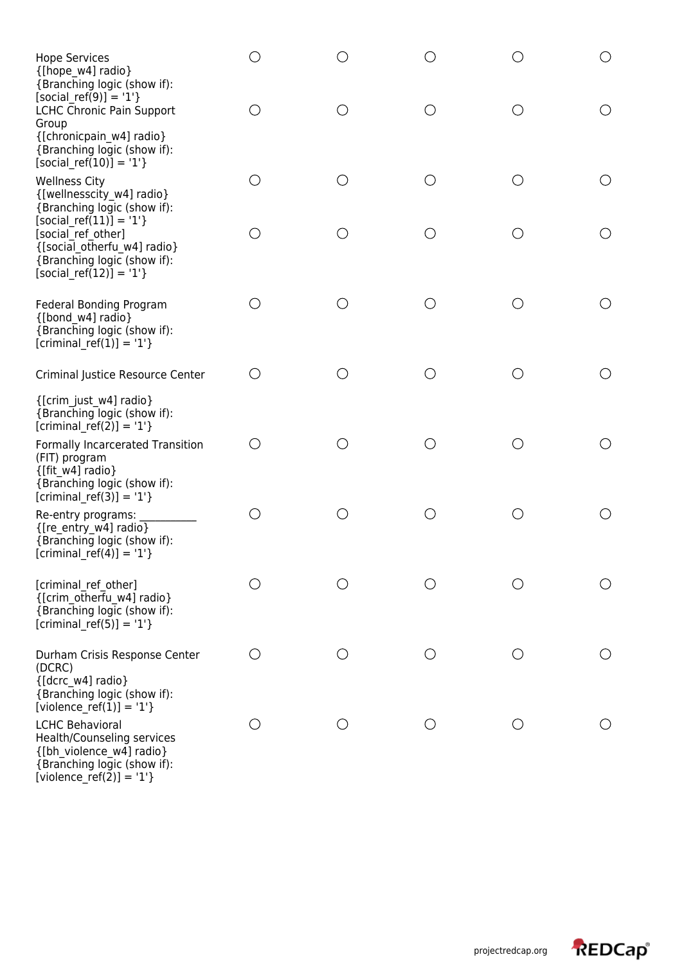| <b>Hope Services</b><br>{[hope w4] radio}<br>{Branching logic (show if):                                                                    |                                             |                                             |            |     | ○                                             |
|---------------------------------------------------------------------------------------------------------------------------------------------|---------------------------------------------|---------------------------------------------|------------|-----|-----------------------------------------------|
| [social ref(9)] = $'1'$ }<br>LCHC Chronic Pain Support<br>Group<br>{[chronicpain w4] radio}<br>{Branching logic (show if):                  | $\left(\begin{array}{c} \end{array}\right)$ |                                             | O          | ( ) | O                                             |
| $[social_ref(10)] = '1'$<br><b>Wellness City</b><br>{[wellnesscity_w4] radio}<br>{Branching logic (show if):                                | O                                           | ◯                                           | ◯          | ∩   | O                                             |
| [social ref $(11)$ ] = '1'}<br>[social ref other]<br>{[social_otherfu_w4] radio}<br>{Branching logic (show if):<br>$[social_ref(12)] = '1'$ | O                                           |                                             | O          | ()  | $\bigcirc$                                    |
| Federal Bonding Program<br>{[bond w4] radio}<br>{Branching logic (show if):<br>$[criminal_ref(1)] = '1'$                                    | О                                           |                                             | $\bigcirc$ | ∩   | $\left(\right)$                               |
| Criminal Justice Resource Center                                                                                                            | О                                           |                                             | $\bigcirc$ | ◯   | O                                             |
| {[crim just w4] radio}<br>{Branching logic (show if):<br>[criminal ref(2)] = $'1'$ }                                                        |                                             |                                             |            |     |                                               |
| Formally Incarcerated Transition<br>(FIT) program<br>$\{$ [fit w4] radio}<br>{Branching logic (show if):<br>[criminal ref(3)] = $'1'$ }     | $\bigcirc$                                  | $(\ )$                                      | O          | O   | ()                                            |
| Re-entry programs:<br>{[re_entry_w4] radio}<br>{Branching logic (show if):<br>$[criminal_ref(4)] = '1'$                                     | ○                                           |                                             | O          | ( ) | $\left(\begin{array}{c} 1 \end{array}\right)$ |
| [criminal ref other]<br>{[crim_otherfu_w4] radio}<br>{Branching logic (show if):<br>$[criminal_ref(5)] = '1'$                               |                                             |                                             |            |     | $\left(\begin{array}{c} \end{array}\right)$   |
| Durham Crisis Response Center<br>(DCRC)<br>{[dcrc w4] radio}<br>{Branching logic (show if):<br>[violence ref(1)] = '1'}                     | О                                           | $\left(\begin{array}{c} \end{array}\right)$ | ∩          | ( ) |                                               |
| <b>LCHC Behavioral</b><br>Health/Counseling services<br>{[bh_violence_w4] radio}<br>{Branching logic (show if):<br>[violence_ref(2)] = '1'} | О                                           |                                             | O          |     |                                               |